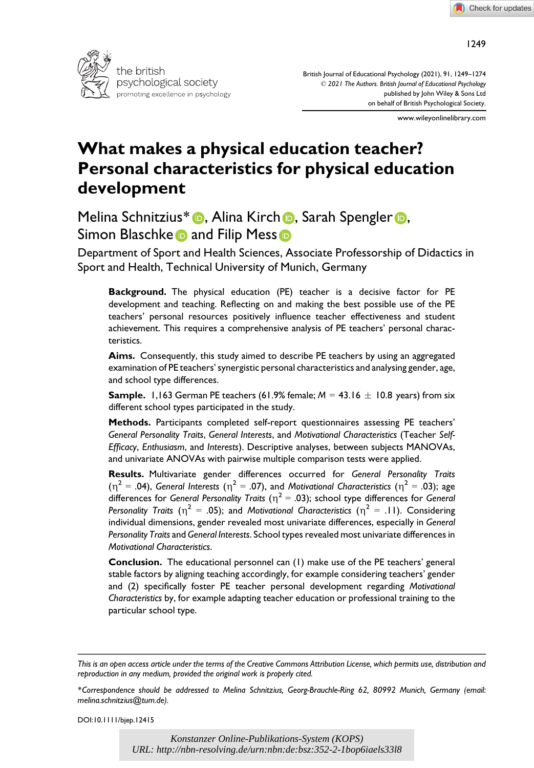



British Journal of Educational Psychology (2021), 91, 1249–1274 © 2021 The Authors. British Journal of Educational Psychology published by John Wiley & Sons Ltd on behalf of British Psychological Society.

www.wileyonlinelibrary.com

# What makes a physical education teacher? Personal characteristics for physical education development

Melina Schnitzius\* (D, Alina Kirch D, Sarah Spengler D, Simon Blaschk[e](https://orcid.org/0000-0002-6163-2744) and Filip Mess **and Filip Mess** 

Department of Sport and Health Sciences, Associate Professorship of Didactics in Sport and Health, Technical University of Munich, Germany

Background. The physical education (PE) teacher is a decisive factor for PE development and teaching. Reflecting on and making the best possible use of the PE teachers' personal resources positively influence teacher effectiveness and student achievement. This requires a comprehensive analysis of PE teachers' personal characteristics.

Aims. Consequently, this study aimed to describe PE teachers by using an aggregated examination of PE teachers' synergistic personal characteristics and analysing gender, age, and school type differences.

**Sample.** 1,163 German PE teachers (61.9% female;  $M = 43.16 \pm 10.8$  years) from six different school types participated in the study.

Methods. Participants completed self-report questionnaires assessing PE teachers' General Personality Traits, General Interests, and Motivational Characteristics (Teacher Self-Efficacy, Enthusiasm, and Interests). Descriptive analyses, between subjects MANOVAs, and univariate ANOVAs with pairwise multiple comparison tests were applied.

Results. Multivariate gender differences occurred for General Personality Traits  $(\eta^2 = .04)$ , General Interests ( $\eta^2 = .07$ ), and Motivational Characteristics ( $\eta^2 = .03$ ); age differences for General Personality Traits ( $\eta^2$  = .03); school type differences for General Personality Traits ( $\eta^2 = .05$ ); and Motivational Characteristics ( $\eta^2 = .11$ ). Considering individual dimensions, gender revealed most univariate differences, especially in General Personality Traits and General Interests. School types revealed most univariate differences in Motivational Characteristics.

Conclusion. The educational personnel can (1) make use of the PE teachers' general stable factors by aligning teaching accordingly, for example considering teachers' gender and (2) specifically foster PE teacher personal development regarding Motivational Characteristics by, for example adapting teacher education or professional training to the particular school type.

DOI:10.1111/bjep.12415

This is an open access article under the terms of the [Creative Commons Attribution](http://creativecommons.org/licenses/by/4.0/) License, which permits use, distribution and reproduction in any medium, provided the original work is properly cited.

<sup>\*</sup>Correspondence should be addressed to Melina Schnitzius, Georg-Brauchle-Ring 62, 80992 Munich, Germany (email: [melina.schnitzius@tum.de](mailto:)).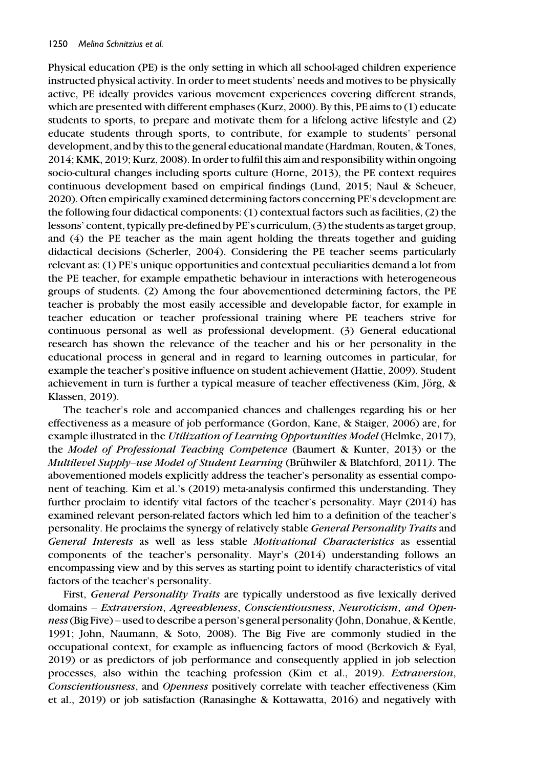Physical education (PE) is the only setting in which all school-aged children experience instructed physical activity. In order to meet students' needs and motives to be physically active, PE ideally provides various movement experiences covering different strands, which are presented with different emphases (Kurz, 2000). By this, PE aims to (1) educate students to sports, to prepare and motivate them for a lifelong active lifestyle and (2) educate students through sports, to contribute, for example to students' personal development, and by this to the general educational mandate (Hardman, Routen, & Tones, 2014; KMK, 2019; Kurz, 2008). In order to fulfil this aim and responsibility within ongoing socio-cultural changes including sports culture (Horne, 2013), the PE context requires continuous development based on empirical findings (Lund, 2015; Naul & Scheuer, 2020). Often empirically examined determining factors concerning PE's development are the following four didactical components: (1) contextual factors such as facilities, (2) the lessons' content, typically pre-defined by PE's curriculum, (3) the students as target group, and (4) the PE teacher as the main agent holding the threats together and guiding didactical decisions (Scherler, 2004). Considering the PE teacher seems particularly relevant as: (1) PE's unique opportunities and contextual peculiarities demand a lot from the PE teacher, for example empathetic behaviour in interactions with heterogeneous groups of students. (2) Among the four abovementioned determining factors, the PE teacher is probably the most easily accessible and developable factor, for example in teacher education or teacher professional training where PE teachers strive for continuous personal as well as professional development. (3) General educational research has shown the relevance of the teacher and his or her personality in the educational process in general and in regard to learning outcomes in particular, for example the teacher's positive influence on student achievement (Hattie, 2009). Student achievement in turn is further a typical measure of teacher effectiveness (Kim, Jörg, & Klassen, 2019).

The teacher's role and accompanied chances and challenges regarding his or her effectiveness as a measure of job performance (Gordon, Kane, & Staiger, 2006) are, for example illustrated in the Utilization of Learning Opportunities Model (Helmke, 2017), the Model of Professional Teaching Competence (Baumert & Kunter, 2013) or the Multilevel Supply–use Model of Student Learning (Brühwiler & Blatchford, 2011). The abovementioned models explicitly address the teacher's personality as essential component of teaching. Kim et al.'s (2019) meta-analysis confirmed this understanding. They further proclaim to identify vital factors of the teacher's personality. Mayr (2014) has examined relevant person-related factors which led him to a definition of the teacher's personality. He proclaims the synergy of relatively stable General Personality Traits and General Interests as well as less stable Motivational Characteristics as essential components of the teacher's personality. Mayr's (2014) understanding follows an encompassing view and by this serves as starting point to identify characteristics of vital factors of the teacher's personality.

First, General Personality Traits are typically understood as five lexically derived domains – Extraversion, Agreeableness, Conscientiousness, Neuroticism, and Openness(Big Five) – used to describe a person's general personality (John, Donahue, & Kentle, 1991; John, Naumann, & Soto, 2008). The Big Five are commonly studied in the occupational context, for example as influencing factors of mood (Berkovich & Eyal, 2019) or as predictors of job performance and consequently applied in job selection processes, also within the teaching profession (Kim et al., 2019). Extraversion, Conscientiousness, and Openness positively correlate with teacher effectiveness (Kim et al., 2019) or job satisfaction (Ranasinghe & Kottawatta, 2016) and negatively with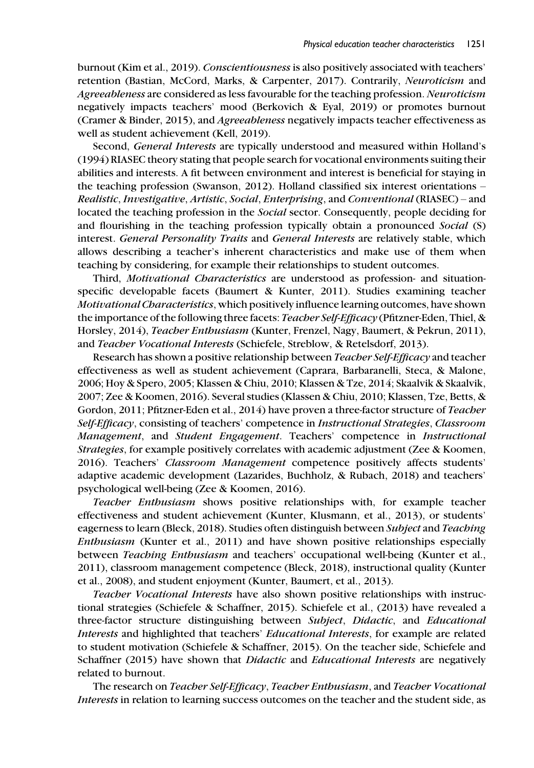burnout (Kim et al., 2019). Conscientiousness is also positively associated with teachers' retention (Bastian, McCord, Marks, & Carpenter, 2017). Contrarily, Neuroticism and Agreeableness are considered as less favourable for the teaching profession. Neuroticism negatively impacts teachers' mood (Berkovich & Eyal, 2019) or promotes burnout (Cramer & Binder, 2015), and Agreeableness negatively impacts teacher effectiveness as well as student achievement (Kell, 2019).

Second, General Interests are typically understood and measured within Holland's (1994) RIASEC theory stating that people search for vocational environments suiting their abilities and interests. A fit between environment and interest is beneficial for staying in the teaching profession (Swanson, 2012). Holland classified six interest orientations – Realistic, Investigative, Artistic, Social, Enterprising, and Conventional (RIASEC) – and located the teaching profession in the Social sector. Consequently, people deciding for and flourishing in the teaching profession typically obtain a pronounced Social (S) interest. General Personality Traits and General Interests are relatively stable, which allows describing a teacher's inherent characteristics and make use of them when teaching by considering, for example their relationships to student outcomes.

Third, Motivational Characteristics are understood as profession- and situationspecific developable facets (Baumert & Kunter, 2011). Studies examining teacher Motivational Characteristics, which positively influence learning outcomes, have shown the importance of the following three facets: *Teacher Self-Efficacy* (Pfitzner-Eden, Thiel, & Horsley, 2014), Teacher Enthusiasm (Kunter, Frenzel, Nagy, Baumert, & Pekrun, 2011), and Teacher Vocational Interests (Schiefele, Streblow, & Retelsdorf, 2013).

Research has shown a positive relationship between *Teacher Self-Efficacy* and teacher effectiveness as well as student achievement (Caprara, Barbaranelli, Steca, & Malone, 2006; Hoy & Spero, 2005; Klassen & Chiu, 2010; Klassen & Tze, 2014; Skaalvik & Skaalvik, 2007; Zee & Koomen, 2016). Several studies (Klassen & Chiu, 2010; Klassen, Tze, Betts, & Gordon, 2011; Pfitzner-Eden et al., 2014) have proven a three-factor structure of Teacher Self-Efficacy, consisting of teachers' competence in Instructional Strategies, Classroom Management, and Student Engagement. Teachers' competence in Instructional Strategies, for example positively correlates with academic adjustment (Zee & Koomen, 2016). Teachers' Classroom Management competence positively affects students' adaptive academic development (Lazarides, Buchholz, & Rubach, 2018) and teachers' psychological well-being (Zee & Koomen, 2016).

Teacher Enthusiasm shows positive relationships with, for example teacher effectiveness and student achievement (Kunter, Klusmann, et al., 2013), or students' eagerness to learn (Bleck, 2018). Studies often distinguish between Subject and Teaching Enthusiasm (Kunter et al., 2011) and have shown positive relationships especially between Teaching Enthusiasm and teachers' occupational well-being (Kunter et al., 2011), classroom management competence (Bleck, 2018), instructional quality (Kunter et al., 2008), and student enjoyment (Kunter, Baumert, et al., 2013).

Teacher Vocational Interests have also shown positive relationships with instructional strategies (Schiefele & Schaffner, 2015). Schiefele et al., (2013) have revealed a three-factor structure distinguishing between Subject, Didactic, and Educational Interests and highlighted that teachers' Educational Interests, for example are related to student motivation (Schiefele & Schaffner, 2015). On the teacher side, Schiefele and Schaffner (2015) have shown that Didactic and Educational Interests are negatively related to burnout.

The research on Teacher Self-Efficacy, Teacher Enthusiasm, and Teacher Vocational Interests in relation to learning success outcomes on the teacher and the student side, as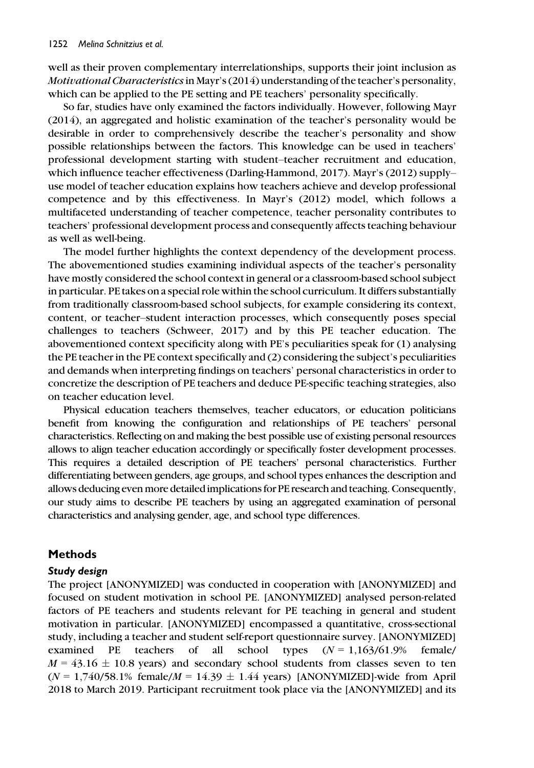well as their proven complementary interrelationships, supports their joint inclusion as Motivational Characteristicsin Mayr's (2014) understanding of the teacher's personality, which can be applied to the PE setting and PE teachers' personality specifically.

So far, studies have only examined the factors individually. However, following Mayr (2014), an aggregated and holistic examination of the teacher's personality would be desirable in order to comprehensively describe the teacher's personality and show possible relationships between the factors. This knowledge can be used in teachers' professional development starting with student–teacher recruitment and education, which influence teacher effectiveness (Darling-Hammond, 2017). Mayr's (2012) supply– use model of teacher education explains how teachers achieve and develop professional competence and by this effectiveness. In Mayr's (2012) model, which follows a multifaceted understanding of teacher competence, teacher personality contributes to teachers' professional development process and consequently affects teaching behaviour as well as well-being.

The model further highlights the context dependency of the development process. The abovementioned studies examining individual aspects of the teacher's personality have mostly considered the school context in general or a classroom-based school subject in particular. PE takes on a special role within the school curriculum. It differs substantially from traditionally classroom-based school subjects, for example considering its context, content, or teacher–student interaction processes, which consequently poses special challenges to teachers (Schweer, 2017) and by this PE teacher education. The abovementioned context specificity along with PE's peculiarities speak for (1) analysing the PE teacher in the PE context specifically and (2) considering the subject's peculiarities and demands when interpreting findings on teachers' personal characteristics in order to concretize the description of PE teachers and deduce PE-specific teaching strategies, also on teacher education level.

Physical education teachers themselves, teacher educators, or education politicians benefit from knowing the configuration and relationships of PE teachers' personal characteristics. Reflecting on and making the best possible use of existing personal resources allows to align teacher education accordingly or specifically foster development processes. This requires a detailed description of PE teachers' personal characteristics. Further differentiating between genders, age groups, and school types enhances the description and allows deducing even more detailed implications for PE research and teaching. Consequently, our study aims to describe PE teachers by using an aggregated examination of personal characteristics and analysing gender, age, and school type differences.

### Methods

### Study design

The project [ANONYMIZED] was conducted in cooperation with [ANONYMIZED] and focused on student motivation in school PE. [ANONYMIZED] analysed person-related factors of PE teachers and students relevant for PE teaching in general and student motivation in particular. [ANONYMIZED] encompassed a quantitative, cross-sectional study, including a teacher and student self-report questionnaire survey. [ANONYMIZED] examined PE teachers of all school types  $(N = 1.163/61.9\%$  female/  $M = 43.16 \pm 10.8$  years) and secondary school students from classes seven to ten  $(N = 1,740/58.1\%$  female $/M = 14.39 \pm 1.44$  years) [ANONYMIZED]-wide from April 2018 to March 2019. Participant recruitment took place via the [ANONYMIZED] and its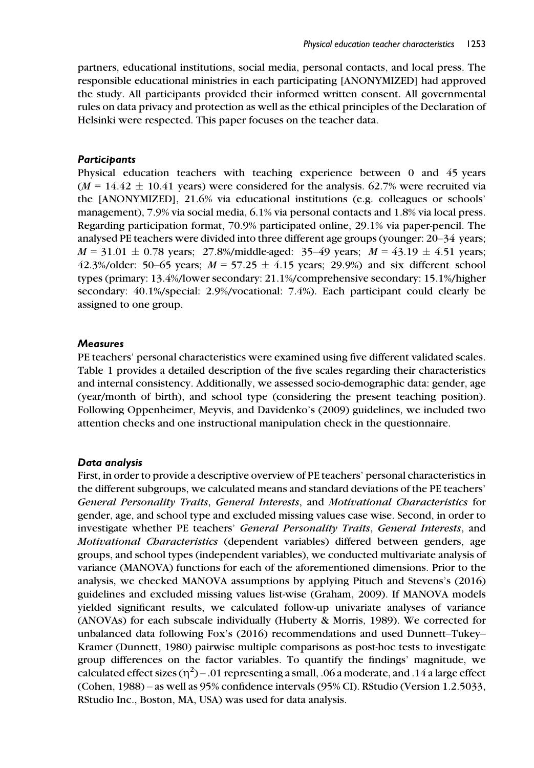partners, educational institutions, social media, personal contacts, and local press. The responsible educational ministries in each participating [ANONYMIZED] had approved the study. All participants provided their informed written consent. All governmental rules on data privacy and protection as well as the ethical principles of the Declaration of Helsinki were respected. This paper focuses on the teacher data.

#### **Participants**

Physical education teachers with teaching experience between 0 and 45 years  $(M = 14.42 \pm 10.41$  years) were considered for the analysis. 62.7% were recruited via the [ANONYMIZED], 21.6% via educational institutions (e.g. colleagues or schools' management), 7.9% via social media, 6.1% via personal contacts and 1.8% via local press. Regarding participation format, 70.9% participated online, 29.1% via paper-pencil. The analysed PE teachers were divided into three different age groups (younger: 20–34 years;  $M = 31.01 \pm 0.78$  years; 27.8%/middle-aged: 35–49 years;  $M = 43.19 \pm 4.51$  years; 42.3%/older: 50–65 years;  $M = 57.25 \pm 4.15$  years; 29.9%) and six different school types (primary: 13.4%/lower secondary: 21.1%/comprehensive secondary: 15.1%/higher secondary: 40.1%/special: 2.9%/vocational: 7.4%). Each participant could clearly be assigned to one group.

### **Measures**

PE teachers' personal characteristics were examined using five different validated scales. Table 1 provides a detailed description of the five scales regarding their characteristics and internal consistency. Additionally, we assessed socio-demographic data: gender, age (year/month of birth), and school type (considering the present teaching position). Following Oppenheimer, Meyvis, and Davidenko's (2009) guidelines, we included two attention checks and one instructional manipulation check in the questionnaire.

### Data analysis

First, in order to provide a descriptive overview of PE teachers' personal characteristics in the different subgroups, we calculated means and standard deviations of the PE teachers' General Personality Traits, General Interests, and Motivational Characteristics for gender, age, and school type and excluded missing values case wise. Second, in order to investigate whether PE teachers' General Personality Traits, General Interests, and Motivational Characteristics (dependent variables) differed between genders, age groups, and school types (independent variables), we conducted multivariate analysis of variance (MANOVA) functions for each of the aforementioned dimensions. Prior to the analysis, we checked MANOVA assumptions by applying Pituch and Stevens's (2016) guidelines and excluded missing values list-wise (Graham, 2009). If MANOVA models yielded significant results, we calculated follow-up univariate analyses of variance (ANOVAs) for each subscale individually (Huberty & Morris, 1989). We corrected for unbalanced data following Fox's (2016) recommendations and used Dunnett–Tukey– Kramer (Dunnett, 1980) pairwise multiple comparisons as post-hoc tests to investigate group differences on the factor variables. To quantify the findings' magnitude, we calculated effect sizes  $(\eta^2)$  – .01 representing a small, .06 a moderate, and .14 a large effect<br>(Cohen. 1988) – 25 well as 95% confidence intervals (95% CD, BStudio (Version 1.2.5033) (Cohen, 1988) – as well as 95% confidence intervals (95% CI). RStudio (Version 1.2.5033, RStudio Inc., Boston, MA, USA) was used for data analysis.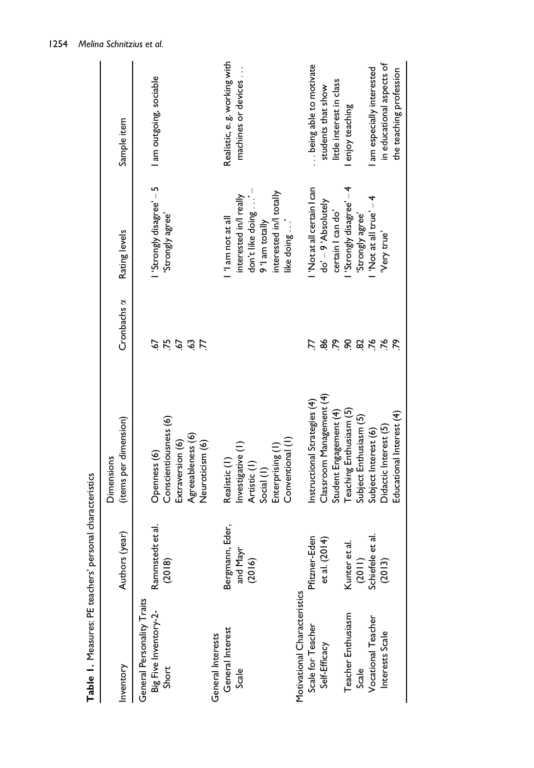| Inventory                                                    | (year)<br>Authors                     | (items per dimension)<br><b>Dimensions</b>                                                               | Cronbachs a                         | Rating levels                                                                                                                   | Sample item                                          |
|--------------------------------------------------------------|---------------------------------------|----------------------------------------------------------------------------------------------------------|-------------------------------------|---------------------------------------------------------------------------------------------------------------------------------|------------------------------------------------------|
| General Personality Traits<br>Big Five Inventory-2-<br>Short | Rammstedt et al.<br>(2018)            | Conscientiousness (6)<br>Agreeableness (6)<br>Neuroticism (6)<br>Extraversion (6)<br>Openness (6)        | 75<br>57<br>$\ddot{3}$<br>5<br>Ľ.   | Strongly disagree' - 5<br>'Strongly agree'                                                                                      | I am outgoing, sociable                              |
| General Interests                                            |                                       |                                                                                                          |                                     |                                                                                                                                 |                                                      |
| General Interest<br>Scale                                    | Bergmann, Eder,<br>and Mayr<br>(2016) | Conventional (1)<br>Investigative (1)<br>Enterprising (1)<br>Realistic (1)<br>Artistic (1)<br>Social (1) |                                     | don't like doing' -<br>interested in/l totally<br>interested in/l really<br>'I am not at all<br>9 'I am totally<br>like doing ' | Realistic, e. g. working with<br>machines or devices |
| Motivational Characteristics                                 |                                       |                                                                                                          |                                     |                                                                                                                                 |                                                      |
| Scale for Teacher<br>Self-Efficacy                           | Pfitzner-Eden<br>et al. (2014)        | Classroom Management (4)<br>Instructional Strategies (4)                                                 | 86                                  | 'Not at all certain I can<br>do' - 9 'Absolutely                                                                                | being able to motivate<br>students that show         |
| Teacher Enthusiasm<br>Scale                                  | ಸ<br>Kunter et                        | Teaching Enthusiasm (5)<br>Student Engagement (4)<br>Subject Enthusiasm (5)                              | 55<br>$\mathcal{S}$<br>$\mathbf{g}$ | Strongly disagree' -4<br>certain I can do'<br>'Strongly agree'                                                                  | little interest in class<br>enjoy teaching           |
| Vocational Teacher                                           | et al.<br>$(2011)$<br>Schiefele       | Subject Interest (6)                                                                                     | .76                                 | 'Not at all true' - 4                                                                                                           | am especially interested                             |
| Interests Scale                                              | (2013)                                | Educational Interest (4)<br>Didactic Interest (5)                                                        | .76                                 | Very true'                                                                                                                      | in educational aspects of<br>the teaching profession |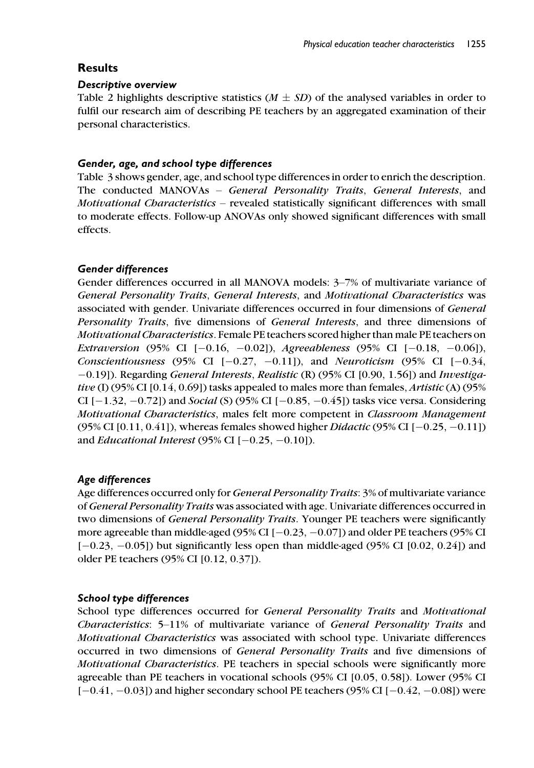# **Results**

# Descriptive overview

Table 2 highlights descriptive statistics ( $M \pm SD$ ) of the analysed variables in order to fulfil our research aim of describing PE teachers by an aggregated examination of their personal characteristics.

# Gender, age, and school type differences

Table 3 shows gender, age, and school type differences in order to enrich the description. The conducted MANOVAs – General Personality Traits, General Interests, and Motivational Characteristics – revealed statistically significant differences with small to moderate effects. Follow-up ANOVAs only showed significant differences with small effects.

# Gender differences

Gender differences occurred in all MANOVA models: 3–7% of multivariate variance of General Personality Traits, General Interests, and Motivational Characteristics was associated with gender. Univariate differences occurred in four dimensions of General Personality Traits, five dimensions of General Interests, and three dimensions of Motivational Characteristics. Female PE teachers scored higher than male PE teachers on Extraversion (95% CI  $[-0.16, -0.02]$ ), Agreeableness (95% CI  $[-0.18, -0.06]$ ), Conscientiousness (95% CI  $[-0.27, -0.11]$ ), and Neuroticism (95% CI  $[-0.34,$ -0.19]). Regarding General Interests, Realistic (R) (95% CI [0.90, 1.56]) and Investigative (I) (95% CI [0.14, 0.69]) tasks appealed to males more than females, *Artistic* (A) (95% CI  $[-1.32, -0.72]$  and *Social* (S) (95% CI  $[-0.85, -0.45]$ ) tasks vice versa. Considering Motivational Characteristics, males felt more competent in Classroom Management (95% CI [0.11, 0.41]), whereas females showed higher *Didactic* (95% CI  $[-0.25, -0.11]$ ) and *Educational Interest* (95% CI  $[-0.25, -0.10]$ ).

# Age differences

Age differences occurred only for General Personality Traits: 3% of multivariate variance of General Personality Traits was associated with age. Univariate differences occurred in two dimensions of *General Personality Traits*. Younger PE teachers were significantly more agreeable than middle-aged (95% CI  $[-0.23, -0.07]$ ) and older PE teachers (95% CI  $[-0.23, -0.05]$ ) but significantly less open than middle-aged (95% CI  $[0.02, 0.24]$ ) and older PE teachers (95% CI [0.12, 0.37]).

# School type differences

School type differences occurred for General Personality Traits and Motivational Characteristics: 5–11% of multivariate variance of General Personality Traits and Motivational Characteristics was associated with school type. Univariate differences occurred in two dimensions of General Personality Traits and five dimensions of Motivational Characteristics. PE teachers in special schools were significantly more agreeable than PE teachers in vocational schools (95% CI [0.05, 0.58]). Lower (95% CI  $[-0.41, -0.03]$  and higher secondary school PE teachers (95% CI  $[-0.42, -0.08]$ ) were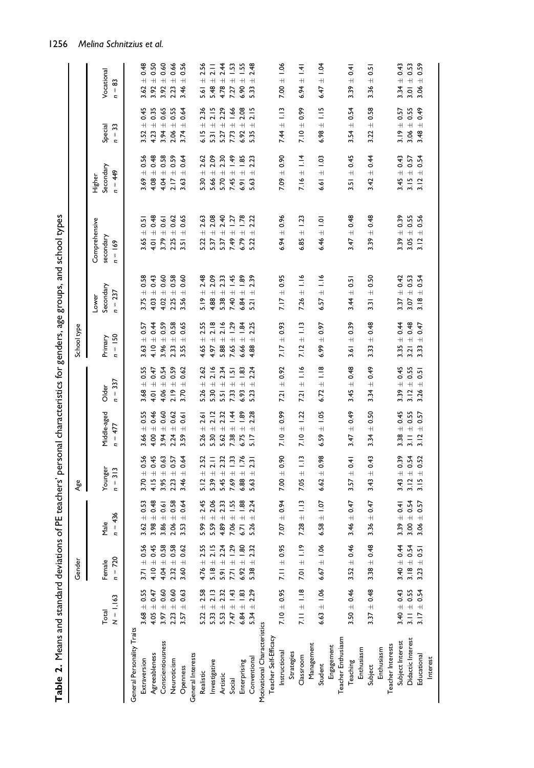|                              |                      | Gender                      |                                 | Age                                     |                                |                                          | School type                    |                                           |                                         |                                  |                                          |                                |
|------------------------------|----------------------|-----------------------------|---------------------------------|-----------------------------------------|--------------------------------|------------------------------------------|--------------------------------|-------------------------------------------|-----------------------------------------|----------------------------------|------------------------------------------|--------------------------------|
|                              | $N = 1.163$<br>Total | Female<br>$n = 720$         | $n = 436$<br>Male               | Younger<br>$= 313$<br>c                 | Middle-aged<br>$n = 477$       | $n = 337$<br>Older                       | $n = 150$<br>Primary           | Secondary<br>$n = 237$<br>Lower           | Comprehensive<br>secondary<br>$n = 169$ | Secondary<br>$n = 449$<br>Higher | χ<br>Special<br>$\overline{\phantom{0}}$ | Vocational<br>ඝ<br>$n =$       |
| General Personality Traits   |                      |                             |                                 |                                         |                                |                                          |                                |                                           |                                         |                                  |                                          |                                |
| Extraversion                 | $3.68 \pm 0.55$      | 0.56<br>$3.71 \pm$          | 0.53<br>$\ddot{}$<br>3.62       | 0.56<br>$\ddot{}$<br>3.70               | $3.66 \pm 0.55$                | 0.55<br>$\overline{+}$<br>3.68           | 0.57<br>$\frac{1}{11}$<br>3.63 | 0.58<br>$\ddot{}$<br>3.75                 | ± 0.51<br>3.65                          | 0.56<br>$\bar{+}$<br>3.69        | 0.45<br>$\overline{+}$<br>3.52           | 0.48<br>$\overline{+}$<br>3.62 |
| Agreeableness                | $4.05 \pm 0.47$      | 0.45<br>$4.10 +$            | 0.48<br>$\overline{+}$<br>3.98  | 0.45<br>$\overline{+}$<br>4.15          | $4.00 \pm 0.46$                | 0.47<br>$\frac{1}{\pm}$<br>4.01          | ± 0.44<br>4.10                 | $4.03 \pm 0.43$                           | $+ 0.48$<br>4.01                        | $\pm 0.48$<br>4.08               | $4.23 \pm 0.35$                          | $3.92 \pm 0.50$                |
| Conscientiousness            | $3.97 \pm 0.60$      | 0.58<br>$4.04 \pm$          | 0.61<br>$+$<br>3.86             | 0.63<br>$\overline{+}$<br>3.95          | $3.94 \pm 0.60$                | 0.54<br>$+$<br>4.06                      | $\pm 0.59$<br>3.96             | ± 0.60<br>4.02                            | $\pm$ 0.61<br>3.79                      | ± 0.58<br>4.04                   | $3.94 \pm 0.65$                          | ± 0.60<br>3.92                 |
| Neuroticism                  | $2.23 \pm 0.60$      | 0.58<br>$2.32 +$            | 0.58<br>$\overline{+}$<br>2.06  | 0.57<br>$\overline{+}$<br>2.23          | $2.24 \pm 0.62$                | 0.59<br>$2.19 \pm$                       | ± 0.58<br>2.33                 | $\pm$ 0.58<br>2.25                        | ± 0.62<br>2.25                          | 0.59<br>$2.17 \pm 0$             | $2.06 \pm 0.55$                          | ± 0.66<br>2.23                 |
| Openness                     | $3.57 + 0.63$        | 0.62<br>$3.60 \pm$          | 0.64<br>$\overline{+}$<br>3.53  | 0.64<br>$\overline{+}$<br>3.46          | ± 0.61<br>3.59                 | 0.62<br>$\overline{+}$<br>3.70           | 0.65<br>$\ddot{+}$<br>3.55     | 0.60<br>$\overline{+}$<br>3.56            | 0.65<br>$\overline{+}$<br>3.51          | 0.64<br>$\overline{+}$<br>3.63   | ± 0.64<br>3.74                           | 0.56<br>$\overline{+}$<br>3.46 |
| General Interests            |                      |                             |                                 |                                         |                                |                                          |                                |                                           |                                         |                                  |                                          |                                |
| Realistic                    | $5.22 + 2.58$        | 2.55<br>$4.76 \pm$          | 2.45<br>$\overline{+}$<br>5.99  | 2.52<br>$\overline{+}$<br>5.12          | 2.61<br>$5.26 \pm$             | 2.62<br>$\overline{+}$<br>5.26           | 2.55<br>$\overline{+}$<br>4.65 | 2.48<br>$^{+}$<br>5.19                    | 2.63<br>$\overline{+}$<br>5.22          | 2.62<br>$\overline{+}$<br>5.30   | 2.36<br>$6.15 \pm$                       | 2.56<br>$\overline{+}$<br>5.61 |
| Investigative                | $5.33 \pm 2.13$      | 2.15<br>$5.18 +$            | 2.06<br>$\frac{1}{\pm}$<br>5.59 | $\frac{1}{2}$<br>$\overline{+}$<br>5.39 | 2.12<br>$5.30 \pm 7$           | 2.16<br>$\overline{+}$<br>5.30           | 2.18<br>$\frac{1}{1}$<br>4.97  | ± 2.09<br>4.88                            | $5.37 \pm 2.08$                         | 2.09<br>$\ddot{+}$<br>5.66       | 2.15<br>$5.31 \pm 1$                     | 211<br>$5.48 \pm$              |
| Artistic                     | $5.53 \pm 2.32$      | 2.24<br>$5.91 \pm$          | 2.33<br>$\frac{1}{\pm}$<br>4.89 | 2.32<br>$\overline{+}$<br>5.45          | 2.32<br>$5.62 \pm$             | 2.34<br>$\overline{+}$<br>5.51           | 2.16<br>$\overline{+}$<br>5.88 | $\pm 2.33$<br>5.38                        | ± 2.40<br>5.37                          | 2.30<br>$\ddot{+}$<br>5.70       | 2.29<br>$5.27 \pm 1$                     | 2.44<br>$\overline{+}$<br>4.78 |
| Social                       | $7.47 \pm 1.43$      | 1.29<br>$7.71 \pm$          | $\pm$ 1.55<br>7.06              | 1.33<br>$\overline{+}$<br>7.69          | $-1.38 \pm 1.44$               | $\overline{5}$<br>$\ddot{+}$<br>7.33     | ± 1.29<br>7.65                 | $\pm$ 1.45<br>7.40                        | ± 1.27<br>7.49                          | $+1.49$<br>7.45                  | $7.73 \pm 1.66$                          | $\pm 1.53$<br>7.27             |
| Enterprising                 | $6.84 \pm 1.83$      | 1.80<br>$6.92 \pm$          | $\pm 1.88$<br>6.71              | 1.76<br>$\overline{+}$<br>6.88          | $\pm 1.89$<br>6.75             | $\frac{83}{2}$<br>$\overline{+}$<br>6.93 | $\pm$ 1.84<br>6.66             | $\pm 1.89$<br>6.84                        | $\pm 1.78$<br>6.79                      | $\pm$ 1.85<br>6.91               | 2.08<br>$6.92 \pm 2$                     | ± 1.55<br>6.90                 |
| Conventional                 | $5.34 \pm 2.29$      | 2.32<br>$5.38 +$            | 2.24<br>$\ddot{+}$<br>5.26      | 231<br>$\overline{+}$<br>5.63           | 2.28<br>$\overline{+}$<br>5.17 | 2.24<br>$\overline{+}$<br>5.23           | 2.25<br>$\overline{+}$<br>4.88 | 2.39<br>$\overline{+}$<br>$\overline{52}$ | 2.22<br>$\overline{+}$<br>5.22          | 2.23<br>$\overline{+}$<br>5.63   | 2.15<br>$\overline{+}$<br>5.35           | 2.48<br>$\overline{+}$<br>5.33 |
| Motivational Characteristics |                      |                             |                                 |                                         |                                |                                          |                                |                                           |                                         |                                  |                                          |                                |
| Teacher Self-Efficacy        |                      |                             |                                 |                                         |                                |                                          |                                |                                           |                                         |                                  |                                          |                                |
| Instructional                | $7.10 \pm 0.95$      | 0.95<br>$7.11 \pm$          | ± 0.94<br>7.07                  | ± 0.90<br>7.00                          | $7.10 \pm 0.99$                | ± 0.92<br>7.21                           | $\pm 0.93$<br>7.17             | $\pm$ 0.95<br>7.17                        | $\pm 0.96$<br>6.94                      | ± 0.90<br>7.09                   | $\pm$ 1.13<br>7.44                       | $\pm 1.06$<br>7.00             |
| Strategies                   |                      |                             |                                 |                                         |                                |                                          |                                |                                           |                                         |                                  |                                          |                                |
| Classroom                    | $7.11 \pm 1.18$      | $\frac{9}{1}$<br>7.01 $\pm$ | $\Xi$<br>$\overline{+}$<br>7.28 | $\pm$ 1.13<br>7.05                      | $7.10 \pm 1.22$                | 1.16<br>7.21                             | $\pm$ 1.13<br>7.12             | $\frac{1}{2}$ 1.16<br>7.26                | $\pm 1.23$<br>6.85                      | $\pm$ 1.14<br>7.16               | $7.10 \pm 0.99$                          | $\frac{4}{14}$<br>6.94         |
| Management                   |                      |                             |                                 |                                         |                                |                                          |                                |                                           |                                         |                                  |                                          |                                |
| Student                      | $6.63 \pm 1.06$      | 0.06<br>$6.67 \pm$          | $\pm 1.07$<br>6.58              | ± 0.98<br>6.62                          | $\pm 1.05$<br>6.59             | $\pm$ 1.18<br>6.72                       | $\pm 0.97$<br>6.99             | $\pm$ 1.16<br>6.57                        | $\frac{1}{2}$<br>6.46                   | $\pm 1.03$<br>6.61               | $\pm$ 1.15<br>6.98                       | $\pm 1.04$<br>6.47             |
| Engagement                   |                      |                             |                                 |                                         |                                |                                          |                                |                                           |                                         |                                  |                                          |                                |
| Teacher Enthusiasm           |                      |                             |                                 |                                         |                                |                                          |                                |                                           |                                         |                                  |                                          |                                |
| Teaching                     | $3.50 \pm 0.46$      | 0.46<br>$3.52 \pm$          | ± 0.47<br>3.46                  | $\pm 0.41$<br>3.57                      | $\pm 0.49$<br>3.47             | ± 0.48<br>3.45                           | $\pm 0.39$<br>3.61             | $\pm 0.51$<br>3.44                        | $\pm 0.48$<br>3.47                      | $\pm 0.45$<br>3.51               | ± 0.54<br>3.54                           | ± 0.41<br>3.39                 |
| Enthusiasm                   |                      |                             |                                 |                                         |                                |                                          |                                |                                           |                                         |                                  |                                          |                                |
| Subject                      | $3.37 \pm 0.48$      | 0.48<br>$3.38 +$            | $+ 0.47$<br>3.36                | $\pm 0.43$<br>3.43                      | ± 0.50<br>3.34                 | $+0.49$<br>3.34                          | ± 0.48<br>3.33                 | $\pm 0.50$<br>$\frac{3}{2}$               | $3.39 \pm 0.48$                         | 10.44<br>3.42                    | ± 0.58<br>3.22                           | 50<br>$\overline{+}$<br>3.36   |
| Enthusiasm                   |                      |                             |                                 |                                         |                                |                                          |                                |                                           |                                         |                                  |                                          |                                |
| Teacher Interests            |                      |                             |                                 |                                         |                                |                                          |                                |                                           |                                         |                                  |                                          |                                |
| Subject Interest             | $3.40 \pm 0.43$      | 0.44<br>$3.40 \pm$          | $3.39 \pm 0.41$                 | $3.43 \pm 0.39$                         | $3.38 \pm 0.45$                | $3.39 \pm 0.45$                          | $3.35 \pm 0.44$                | $3.37 \pm 0.42$                           | $3.39 \pm 0.39$                         | $3.45 \pm 0.43$                  | $3.19 \pm 0.57$                          | $3.34 \pm 0.43$                |
| Didactic Interest            | $3.11 \pm 0.55$      | 0.54<br>$3.18 \pm$          | $3.00 \pm 0.54$                 | 0.54<br>$3.12 \pm 0$                    | $3.11 \pm 0.55$                | $3.12 \pm 0.55$                          | $3.21 \pm 0.48$                | $3.07 + 0.53$                             | $3.05 + 0.55$                           | $3.15 \pm 0.57$                  | $3.06 \pm 0.55$                          | $3.01 + 0.53$                  |
| Educational                  | $3.17 \pm 0.54$      | 0.51<br>$3.23 +$            | ± 0.57<br>3.06                  | 0.52<br>$+$<br>$\frac{1}{3}$ . 15       | $\pm$ 0.57<br>3.12             | 0.51<br>$+$<br>3.26                      | ± 0.47<br>3.33                 | ± 0.54<br>$\frac{8}{3}$                   | 0.56<br>$\overline{+}$<br>3.12          | $\pm 0.54$<br>$\frac{2}{3}$      | $+ 0.49$<br>3.48                         | 0.59<br>$^{+}$<br>3.06         |
| Interest                     |                      |                             |                                 |                                         |                                |                                          |                                |                                           |                                         |                                  |                                          |                                |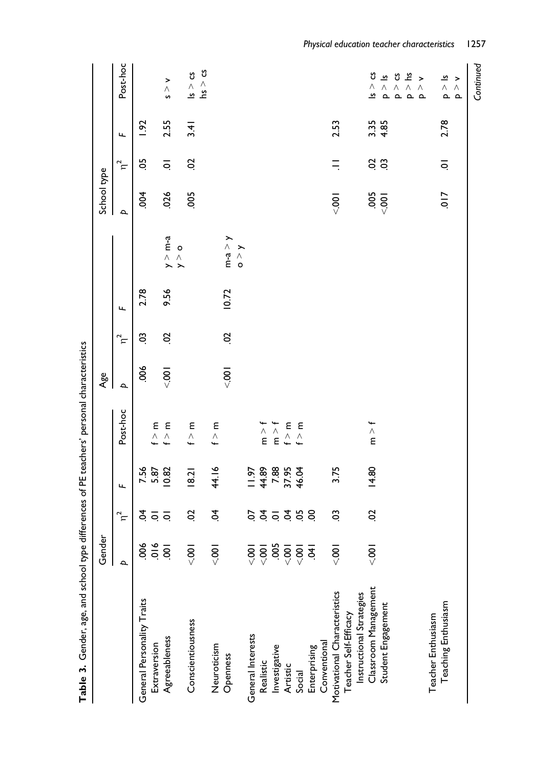|                              | Gender            |          |               |                                                     | Age      |          |       |                               | School type              |                |      |                                                                                                |
|------------------------------|-------------------|----------|---------------|-----------------------------------------------------|----------|----------|-------|-------------------------------|--------------------------|----------------|------|------------------------------------------------------------------------------------------------|
|                              | $\mathbf{a}$      | $\eta^2$ | щ             | Post-hoc                                            | $\Delta$ | $\eta^2$ | Щ     |                               | $\overline{\phantom{a}}$ | $\eta^2$       | Щ    | Post-hoc                                                                                       |
| General Personality Traits   |                   |          | 7.56          |                                                     | 80       | S        | 2.78  |                               | δá                       | S              | 1.92 |                                                                                                |
| Extraversion                 |                   | ई व व    | 5.87          | ε<br>$\stackrel{\wedge}{\cdot}$                     |          |          |       |                               |                          |                |      |                                                                                                |
| Agreeableness                |                   |          | 0.82          | ε<br>$\stackrel{\wedge}{\cdot}$                     | $-001$   | S        | 9.56  | $y > m-a$                     | 026                      | ਼              | 2.55 | $\frac{1}{\wedge}$<br>n                                                                        |
| Conscientiousness            | < 001             | S        | 8.2           | Ε<br>$\stackrel{\wedge}{\cdot}$                     |          |          |       | $\circ$<br>$\hat{\mathbf{y}}$ | 005                      | S              | 3.41 | უ<br>$\leq$                                                                                    |
| Neuroticism                  | $\overline{5}$    | इं       | 44.16         | Ε<br>$\stackrel{\wedge}{\cdot}$                     |          |          |       |                               |                          |                |      | hs > cs                                                                                        |
| Openness                     |                   |          |               |                                                     | $-0.001$ | S        | 10.72 | $m-a > y$                     |                          |                |      |                                                                                                |
|                              |                   |          |               |                                                     |          |          |       | $\mathsf{S}\times\mathsf{S}$  |                          |                |      |                                                                                                |
| General Interests            |                   |          | 197           |                                                     |          |          |       |                               |                          |                |      |                                                                                                |
| Realistic                    |                   |          | 44.89         | $\frac{1}{2}$                                       |          |          |       |                               |                          |                |      |                                                                                                |
| Investigative                |                   |          | 7.88<br>37.95 | m > f                                               |          |          |       |                               |                          |                |      |                                                                                                |
| Artistic                     |                   |          |               | $\begin{array}{c} \epsilon \\ \epsilon \end{array}$ |          |          |       |                               |                          |                |      |                                                                                                |
| Social                       | 60000000000000000 | 55558    | 46.04         | f > m                                               |          |          |       |                               |                          |                |      |                                                                                                |
| Enterprising                 |                   |          |               |                                                     |          |          |       |                               |                          |                |      |                                                                                                |
| Conventional                 |                   |          |               |                                                     |          |          |       |                               |                          |                |      |                                                                                                |
| Motivational Characteristics | $\overline{5}$    | 3        | 3.75          |                                                     |          |          |       |                               | $-0.001$                 |                | 2.53 |                                                                                                |
| Teacher Self-Efficacy        |                   |          |               |                                                     |          |          |       |                               |                          |                |      |                                                                                                |
| Instructional Strategies     |                   |          |               |                                                     |          |          |       |                               |                          |                |      |                                                                                                |
| Classroom Management         | $\frac{1}{2}$     | S        | 14.80         | m > f                                               |          |          |       |                               | $-005$                   | S S            | 3.35 | უ<br>Λ<br><u>ی</u>                                                                             |
| Student Engagement           |                   |          |               |                                                     |          |          |       |                               |                          |                | 4.85 | $\overline{\mathbf{v}}$<br>$\begin{array}{ccc} \wedge & \wedge \\ \Delta & \Delta \end{array}$ |
|                              |                   |          |               |                                                     |          |          |       |                               |                          |                |      | უ                                                                                              |
|                              |                   |          |               |                                                     |          |          |       |                               |                          |                |      | ؿ<br>$\stackrel{\wedge}{\mathtt{a}}$                                                           |
|                              |                   |          |               |                                                     |          |          |       |                               |                          |                |      | $\overline{\phantom{1}}$<br>Λ<br>$\sim$                                                        |
| Teacher Enthusiasm           |                   |          |               |                                                     |          |          |       |                               |                          |                |      |                                                                                                |
| Teaching Enthusiasm          |                   |          |               |                                                     |          |          |       |                               | $\frac{1}{2}$            | $\overline{Q}$ | 2.78 | ౨<br>$\begin{array}{ccc}\n\wedge & \wedge \\ \Delta & \Delta\n\end{array}$                     |
|                              |                   |          |               |                                                     |          |          |       |                               |                          |                |      | >                                                                                              |
|                              |                   |          |               |                                                     |          |          |       |                               |                          |                |      |                                                                                                |

Continued Continued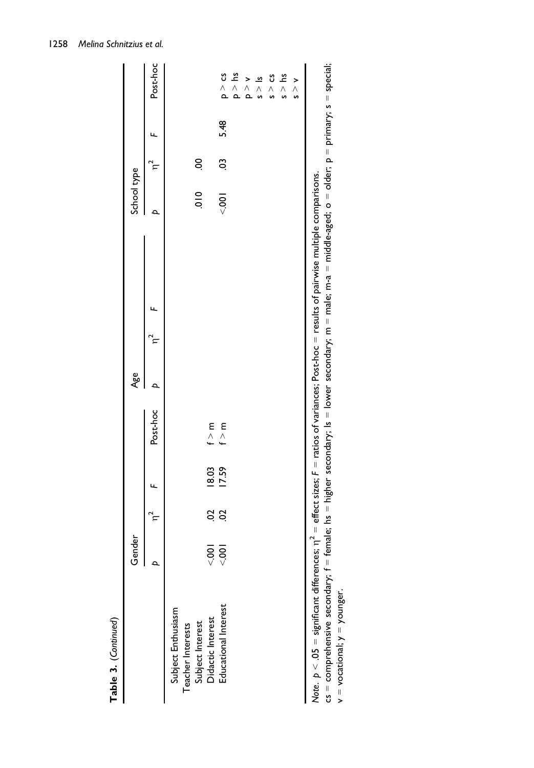|                                                                                                                                                  | Gender         |         |                |                                                                                                               | Age |  | School type                  |        |      |                                                                   |
|--------------------------------------------------------------------------------------------------------------------------------------------------|----------------|---------|----------------|---------------------------------------------------------------------------------------------------------------|-----|--|------------------------------|--------|------|-------------------------------------------------------------------|
|                                                                                                                                                  | $\overline{a}$ |         |                | Post-hoc                                                                                                      |     |  |                              |        |      | Post-hoc                                                          |
| Educational Interest<br>Subject Enthusiasm<br>Didactic Interest<br>Subject Interest<br>Teacher Interests                                         | $80 -$<br>ನ್ಗ  | Sö<br>S | 18.03<br>17.59 | $\begin{array}{c} \epsilon \\ \epsilon \end{array}$<br>$\begin{array}{c} \epsilon \\ \epsilon \\ \end{array}$ |     |  | $\frac{1}{2}$<br>$rac{1}{2}$ | S<br>S | 5.48 | $P > \mu$ s<br>ວ <c<br><math>\geq</math> <math>\geq</math></c<br> |
| Note. $p < 05$ = significant differences; $\eta^2$ = effect sizes; F = ratios of variances; Post-hoc = results of pairwise multiple comparisons. |                |         |                |                                                                                                               |     |  |                              |        |      | s > 1<br>$s > c$ s<br>$\frac{s}{s}$<br>$\frac{2}{3}$              |

cs = comprehensive secondary; f = female; hs = higher secondary; ls = lower secondary; m = male; m-a = middle-aged; o = older; p = primary; s = special;

 $v =$  vocational;  $y =$  younger.  $v = vocational; y = yourger.$ 

Table 3. (Continued)

Table 3. (Continued)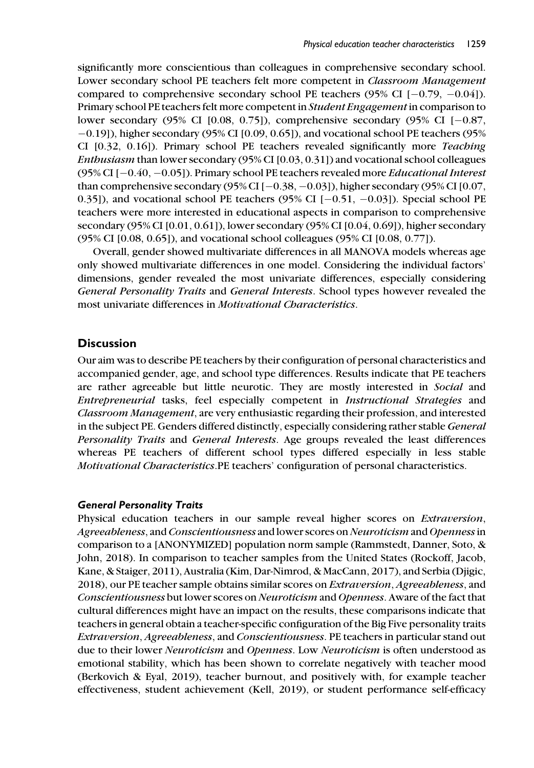significantly more conscientious than colleagues in comprehensive secondary school. Lower secondary school PE teachers felt more competent in Classroom Management compared to comprehensive secondary school PE teachers  $(95\% \text{ CI } [-0.79, -0.04])$ . Primary school PE teachers felt more competent in Student Engagement in comparison to lower secondary (95% CI [0.08, 0.75]), comprehensive secondary (95% CI  $[-0.87,$  $-0.19$ ]), higher secondary (95% CI [0.09, 0.65]), and vocational school PE teachers (95%) CI [0.32, 0.16]). Primary school PE teachers revealed significantly more Teaching Enthusiasm than lower secondary (95% CI [0.03, 0.31]) and vocational school colleagues (95% CI  $[-0.40, -0.05]$ ). Primary school PE teachers revealed more *Educational Interest* than comprehensive secondary (95% CI  $[-0.38, -0.03]$ ), higher secondary (95% CI  $[0.07,$ 0.35]), and vocational school PE teachers (95% CI  $[-0.51, -0.03]$ ). Special school PE teachers were more interested in educational aspects in comparison to comprehensive secondary (95% CI [0.01, 0.61]), lower secondary (95% CI [0.04, 0.69]), higher secondary (95% CI [0.08, 0.65]), and vocational school colleagues (95% CI [0.08, 0.77]).

Overall, gender showed multivariate differences in all MANOVA models whereas age only showed multivariate differences in one model. Considering the individual factors' dimensions, gender revealed the most univariate differences, especially considering General Personality Traits and General Interests. School types however revealed the most univariate differences in Motivational Characteristics.

### **Discussion**

Our aim was to describe PE teachers by their configuration of personal characteristics and accompanied gender, age, and school type differences. Results indicate that PE teachers are rather agreeable but little neurotic. They are mostly interested in Social and Entrepreneurial tasks, feel especially competent in Instructional Strategies and Classroom Management, are very enthusiastic regarding their profession, and interested in the subject PE. Genders differed distinctly, especially considering rather stable General Personality Traits and General Interests. Age groups revealed the least differences whereas PE teachers of different school types differed especially in less stable Motivational Characteristics.PE teachers' configuration of personal characteristics.

#### General Personality Traits

Physical education teachers in our sample reveal higher scores on Extraversion, Agreeableness, and Conscientiousness and lower scores on Neuroticism and Openness in comparison to a [ANONYMIZED] population norm sample (Rammstedt, Danner, Soto, & John, 2018). In comparison to teacher samples from the United States (Rockoff, Jacob, Kane, & Staiger, 2011), Australia (Kim, Dar-Nimrod, & MacCann, 2017), and Serbia (Djigic, 2018), our PE teacher sample obtains similar scores on Extraversion, Agreeableness, and Conscientiousness but lower scores on Neuroticism and Openness. Aware of the fact that cultural differences might have an impact on the results, these comparisons indicate that teachers in general obtain a teacher-specific configuration of the Big Five personality traits Extraversion, Agreeableness, and Conscientiousness. PE teachers in particular stand out due to their lower Neuroticism and Openness. Low Neuroticism is often understood as emotional stability, which has been shown to correlate negatively with teacher mood (Berkovich & Eyal, 2019), teacher burnout, and positively with, for example teacher effectiveness, student achievement (Kell, 2019), or student performance self-efficacy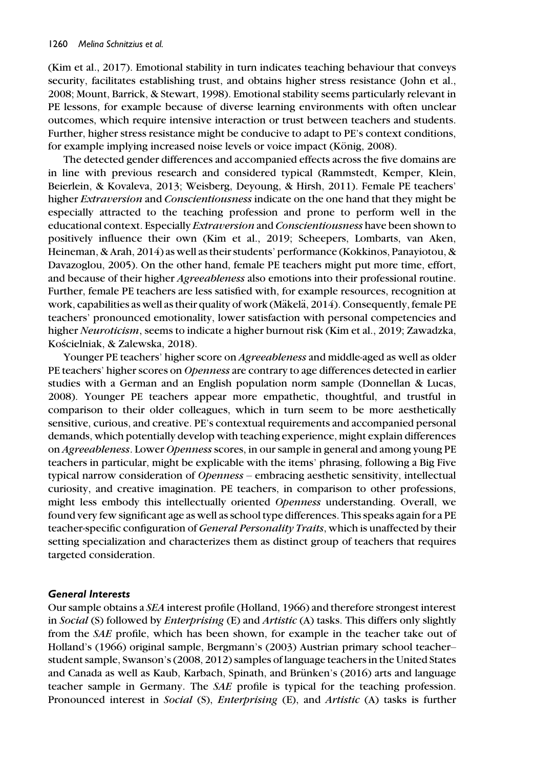(Kim et al., 2017). Emotional stability in turn indicates teaching behaviour that conveys security, facilitates establishing trust, and obtains higher stress resistance (John et al., 2008; Mount, Barrick, & Stewart, 1998). Emotional stability seems particularly relevant in PE lessons, for example because of diverse learning environments with often unclear outcomes, which require intensive interaction or trust between teachers and students. Further, higher stress resistance might be conducive to adapt to PE's context conditions, for example implying increased noise levels or voice impact (König, 2008).

The detected gender differences and accompanied effects across the five domains are in line with previous research and considered typical (Rammstedt, Kemper, Klein, Beierlein, & Kovaleva, 2013; Weisberg, Deyoung, & Hirsh, 2011). Female PE teachers' higher Extraversion and Conscientiousness indicate on the one hand that they might be especially attracted to the teaching profession and prone to perform well in the educational context. Especially Extraversion and Conscientiousness have been shown to positively influence their own (Kim et al., 2019; Scheepers, Lombarts, van Aken, Heineman, & Arah, 2014) as well as their students' performance (Kokkinos, Panayiotou, & Davazoglou, 2005). On the other hand, female PE teachers might put more time, effort, and because of their higher Agreeableness also emotions into their professional routine. Further, female PE teachers are less satisfied with, for example resources, recognition at work, capabilities as well as their quality of work (Mäkelä, 2014). Consequently, female PE teachers' pronounced emotionality, lower satisfaction with personal competencies and higher Neuroticism, seems to indicate a higher burnout risk (Kim et al., 2019; Zawadzka, Kościelniak, & Zalewska, 2018).

Younger PE teachers' higher score on *Agreeableness* and middle-aged as well as older PE teachers' higher scores on Openness are contrary to age differences detected in earlier studies with a German and an English population norm sample (Donnellan & Lucas, 2008). Younger PE teachers appear more empathetic, thoughtful, and trustful in comparison to their older colleagues, which in turn seem to be more aesthetically sensitive, curious, and creative. PE's contextual requirements and accompanied personal demands, which potentially develop with teaching experience, might explain differences on Agreeableness. Lower Openness scores, in our sample in general and among young PE teachers in particular, might be explicable with the items' phrasing, following a Big Five typical narrow consideration of Openness - embracing aesthetic sensitivity, intellectual curiosity, and creative imagination. PE teachers, in comparison to other professions, might less embody this intellectually oriented Openness understanding. Overall, we found very few significant age as well as school type differences. This speaks again for a PE teacher-specific configuration of General Personality Traits, which is unaffected by their setting specialization and characterizes them as distinct group of teachers that requires targeted consideration.

### General Interests

Our sample obtains a SEA interest profile (Holland, 1966) and therefore strongest interest in Social (S) followed by *Enterprising* (E) and *Artistic* (A) tasks. This differs only slightly from the SAE profile, which has been shown, for example in the teacher take out of Holland's (1966) original sample, Bergmann's (2003) Austrian primary school teacher– student sample, Swanson's (2008, 2012) samples of language teachers in the United States and Canada as well as Kaub, Karbach, Spinath, and Brünken's (2016) arts and language teacher sample in Germany. The SAE profile is typical for the teaching profession. Pronounced interest in Social (S), *Enterprising* (E), and *Artistic* (A) tasks is further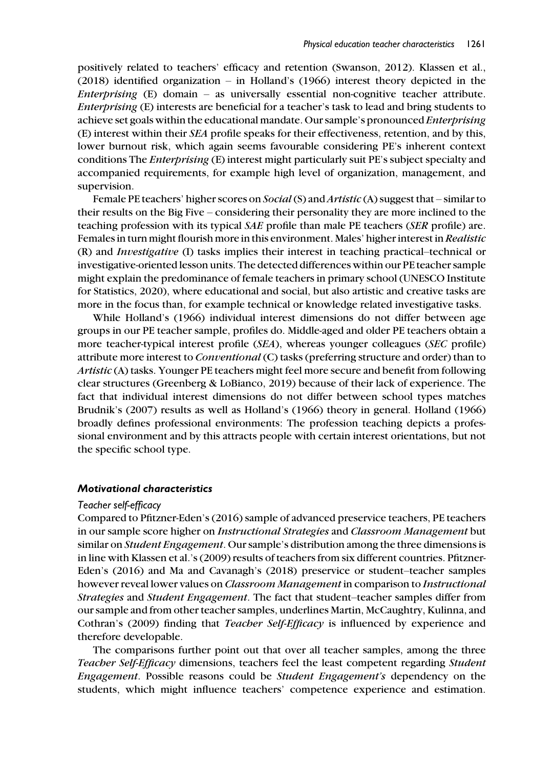positively related to teachers' efficacy and retention (Swanson, 2012). Klassen et al., (2018) identified organization – in Holland's (1966) interest theory depicted in the Enterprising (E) domain – as universally essential non-cognitive teacher attribute. Enterprising (E) interests are beneficial for a teacher's task to lead and bring students to achieve set goals within the educational mandate. Our sample's pronounced Enterprising (E) interest within their SEA profile speaks for their effectiveness, retention, and by this, lower burnout risk, which again seems favourable considering PE's inherent context conditions The Enterprising (E) interest might particularly suit PE's subject specialty and accompanied requirements, for example high level of organization, management, and supervision.

Female PE teachers' higher scores on *Social* (S) and *Artistic* (A) suggest that – similar to their results on the Big Five – considering their personality they are more inclined to the teaching profession with its typical SAE profile than male PE teachers (SER profile) are. Females in turn might flourish more in this environment. Males' higher interest in Realistic (R) and Investigative (I) tasks implies their interest in teaching practical–technical or investigative-oriented lesson units. The detected differences within our PE teacher sample might explain the predominance of female teachers in primary school (UNESCO Institute for Statistics, 2020), where educational and social, but also artistic and creative tasks are more in the focus than, for example technical or knowledge related investigative tasks.

While Holland's (1966) individual interest dimensions do not differ between age groups in our PE teacher sample, profiles do. Middle-aged and older PE teachers obtain a more teacher-typical interest profile (SEA), whereas younger colleagues (SEC profile) attribute more interest to Conventional (C) tasks (preferring structure and order) than to Artistic (A) tasks. Younger PE teachers might feel more secure and benefit from following clear structures (Greenberg & LoBianco, 2019) because of their lack of experience. The fact that individual interest dimensions do not differ between school types matches Brudnik's (2007) results as well as Holland's (1966) theory in general. Holland (1966) broadly defines professional environments: The profession teaching depicts a professional environment and by this attracts people with certain interest orientations, but not the specific school type.

#### Motivational characteristics

#### Teacher self-efficacy

Compared to Pfitzner-Eden's (2016) sample of advanced preservice teachers, PE teachers in our sample score higher on *Instructional Strategies* and *Classroom Management* but similar on *Student Engagement*. Our sample's distribution among the three dimensions is in line with Klassen et al.'s (2009) results of teachers from six different countries. Pfitzner-Eden's (2016) and Ma and Cavanagh's (2018) preservice or student–teacher samples however reveal lower values on Classroom Management in comparison to Instructional Strategies and Student Engagement. The fact that student–teacher samples differ from our sample and from other teacher samples, underlines Martin, McCaughtry, Kulinna, and Cothran's (2009) finding that Teacher Self-Efficacy is influenced by experience and therefore developable.

The comparisons further point out that over all teacher samples, among the three Teacher Self-Efficacy dimensions, teachers feel the least competent regarding Student Engagement. Possible reasons could be Student Engagement's dependency on the students, which might influence teachers' competence experience and estimation.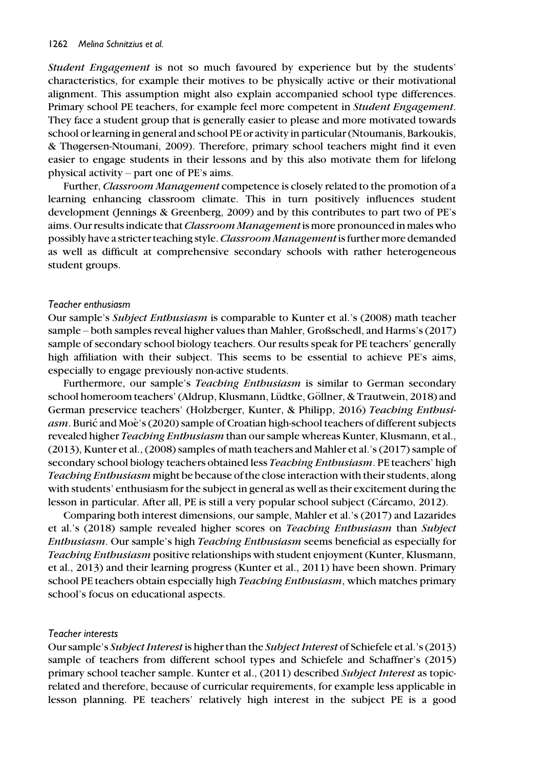Student Engagement is not so much favoured by experience but by the students' characteristics, for example their motives to be physically active or their motivational alignment. This assumption might also explain accompanied school type differences. Primary school PE teachers, for example feel more competent in Student Engagement. They face a student group that is generally easier to please and more motivated towards school or learning in general and school PE or activity in particular (Ntoumanis, Barkoukis, & Thøgersen-Ntoumani, 2009). Therefore, primary school teachers might find it even easier to engage students in their lessons and by this also motivate them for lifelong physical activity – part one of PE's aims.

Further, Classroom Management competence is closely related to the promotion of a learning enhancing classroom climate. This in turn positively influences student development (Jennings & Greenberg, 2009) and by this contributes to part two of PE's aims. Our results indicate that Classroom Management is more pronounced in males who possibly have a stricter teaching style. Classroom Managementis further more demanded as well as difficult at comprehensive secondary schools with rather heterogeneous student groups.

#### Teacher enthusiasm

Our sample's Subject Enthusiasm is comparable to Kunter et al.'s (2008) math teacher sample – both samples reveal higher values than Mahler, Großschedl, and Harms's (2017) sample of secondary school biology teachers. Our results speak for PE teachers' generally high affiliation with their subject. This seems to be essential to achieve PE's aims, especially to engage previously non-active students.

Furthermore, our sample's *Teaching Enthusiasm* is similar to German secondary school homeroom teachers' (Aldrup, Klusmann, Lüdtke, Göllner, & Trautwein, 2018) and German preservice teachers' (Holzberger, Kunter, & Philipp, 2016) Teaching Enthusi*asm.* Burić and Moè's (2020) sample of Croatian high-school teachers of different subjects revealed higher *Teaching Enthusiasm* than our sample whereas Kunter, Klusmann, et al., (2013), Kunter et al., (2008) samples of math teachers and Mahler et al.'s (2017) sample of secondary school biology teachers obtained less *Teaching Enthusiasm*. PE teachers' high Teaching Enthusiasm might be because of the close interaction with their students, along with students' enthusiasm for the subject in general as well as their excitement during the lesson in particular. After all, PE is still a very popular school subject (Cárcamo, 2012).

Comparing both interest dimensions, our sample, Mahler et al.'s (2017) and Lazarides et al.'s (2018) sample revealed higher scores on Teaching Enthusiasm than Subject Enthusiasm. Our sample's high Teaching Enthusiasm seems beneficial as especially for Teaching Enthusiasm positive relationships with student enjoyment (Kunter, Klusmann, et al., 2013) and their learning progress (Kunter et al., 2011) have been shown. Primary school PE teachers obtain especially high *Teaching Enthusiasm*, which matches primary school's focus on educational aspects.

#### Teacher interests

Our sample's Subject Interest is higher than the Subject Interest of Schiefele et al.'s (2013) sample of teachers from different school types and Schiefele and Schaffner's (2015) primary school teacher sample. Kunter et al., (2011) described Subject Interest as topicrelated and therefore, because of curricular requirements, for example less applicable in lesson planning. PE teachers' relatively high interest in the subject PE is a good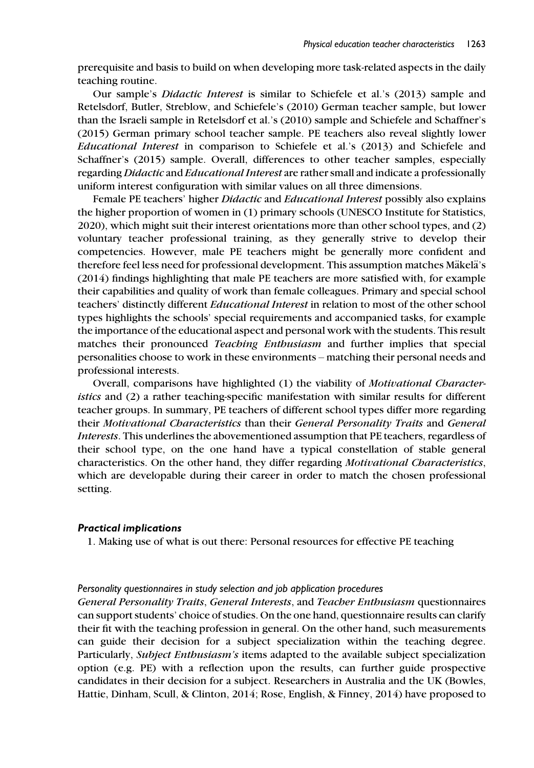prerequisite and basis to build on when developing more task-related aspects in the daily teaching routine.

Our sample's Didactic Interest is similar to Schiefele et al.'s (2013) sample and Retelsdorf, Butler, Streblow, and Schiefele's (2010) German teacher sample, but lower than the Israeli sample in Retelsdorf et al.'s (2010) sample and Schiefele and Schaffner's (2015) German primary school teacher sample. PE teachers also reveal slightly lower Educational Interest in comparison to Schiefele et al.'s (2013) and Schiefele and Schaffner's (2015) sample. Overall, differences to other teacher samples, especially regarding Didactic and Educational Interest are rather small and indicate a professionally uniform interest configuration with similar values on all three dimensions.

Female PE teachers' higher *Didactic* and *Educational Interest* possibly also explains the higher proportion of women in (1) primary schools (UNESCO Institute for Statistics, 2020), which might suit their interest orientations more than other school types, and (2) voluntary teacher professional training, as they generally strive to develop their competencies. However, male PE teachers might be generally more confident and therefore feel less need for professional development. This assumption matches Mäkelä's (2014) findings highlighting that male PE teachers are more satisfied with, for example their capabilities and quality of work than female colleagues. Primary and special school teachers' distinctly different Educational Interest in relation to most of the other school types highlights the schools' special requirements and accompanied tasks, for example the importance of the educational aspect and personal work with the students. This result matches their pronounced Teaching Enthusiasm and further implies that special personalities choose to work in these environments – matching their personal needs and professional interests.

Overall, comparisons have highlighted (1) the viability of *Motivational Character*istics and (2) a rather teaching-specific manifestation with similar results for different teacher groups. In summary, PE teachers of different school types differ more regarding their Motivational Characteristics than their General Personality Traits and General Interests. This underlines the abovementioned assumption that PE teachers, regardless of their school type, on the one hand have a typical constellation of stable general characteristics. On the other hand, they differ regarding *Motivational Characteristics*, which are developable during their career in order to match the chosen professional setting.

#### Practical implications

1. Making use of what is out there: Personal resources for effective PE teaching

#### Personality questionnaires in study selection and job application procedures

General Personality Traits, General Interests, and Teacher Enthusiasm questionnaires can support students' choice of studies. On the one hand, questionnaire results can clarify their fit with the teaching profession in general. On the other hand, such measurements can guide their decision for a subject specialization within the teaching degree. Particularly, Subject Enthusiasm's items adapted to the available subject specialization option (e.g. PE) with a reflection upon the results, can further guide prospective candidates in their decision for a subject. Researchers in Australia and the UK (Bowles, Hattie, Dinham, Scull, & Clinton, 2014; Rose, English, & Finney, 2014) have proposed to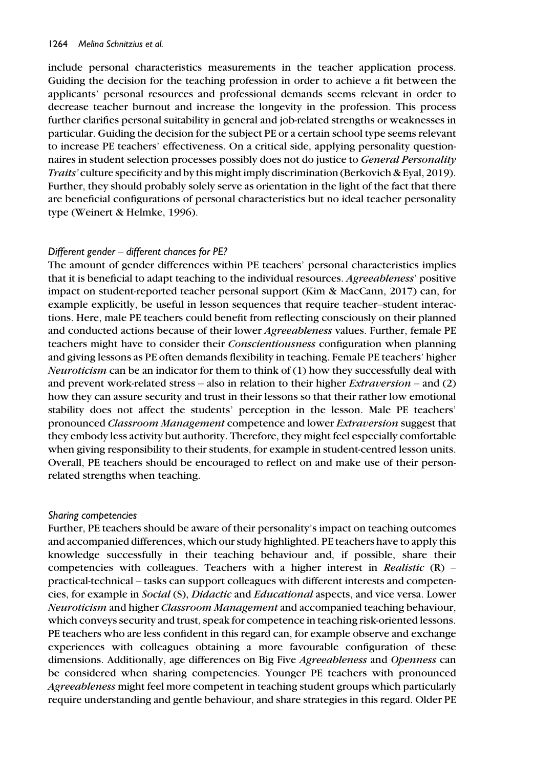include personal characteristics measurements in the teacher application process. Guiding the decision for the teaching profession in order to achieve a fit between the applicants' personal resources and professional demands seems relevant in order to decrease teacher burnout and increase the longevity in the profession. This process further clarifies personal suitability in general and job-related strengths or weaknesses in particular. Guiding the decision for the subject PE or a certain school type seems relevant to increase PE teachers' effectiveness. On a critical side, applying personality questionnaires in student selection processes possibly does not do justice to General Personality Traits' culture specificity and by this might imply discrimination (Berkovich & Eyal, 2019). Further, they should probably solely serve as orientation in the light of the fact that there are beneficial configurations of personal characteristics but no ideal teacher personality type (Weinert & Helmke, 1996).

### Different gender – different chances for PE?

The amount of gender differences within PE teachers' personal characteristics implies that it is beneficial to adapt teaching to the individual resources. Agreeableness' positive impact on student-reported teacher personal support (Kim & MacCann, 2017) can, for example explicitly, be useful in lesson sequences that require teacher–student interactions. Here, male PE teachers could benefit from reflecting consciously on their planned and conducted actions because of their lower Agreeableness values. Further, female PE teachers might have to consider their Conscientiousness configuration when planning and giving lessons as PE often demands flexibility in teaching. Female PE teachers' higher *Neuroticism* can be an indicator for them to think of  $(1)$  how they successfully deal with and prevent work-related stress – also in relation to their higher *Extraversion* – and  $(2)$ how they can assure security and trust in their lessons so that their rather low emotional stability does not affect the students' perception in the lesson. Male PE teachers' pronounced Classroom Management competence and lower Extraversion suggest that they embody less activity but authority. Therefore, they might feel especially comfortable when giving responsibility to their students, for example in student-centred lesson units. Overall, PE teachers should be encouraged to reflect on and make use of their personrelated strengths when teaching.

#### Sharing competencies

Further, PE teachers should be aware of their personality's impact on teaching outcomes and accompanied differences, which our study highlighted. PE teachers have to apply this knowledge successfully in their teaching behaviour and, if possible, share their competencies with colleagues. Teachers with a higher interest in Realistic  $(R)$  – practical-technical – tasks can support colleagues with different interests and competencies, for example in Social (S), Didactic and Educational aspects, and vice versa. Lower Neuroticism and higher Classroom Management and accompanied teaching behaviour, which conveys security and trust, speak for competence in teaching risk-oriented lessons. PE teachers who are less confident in this regard can, for example observe and exchange experiences with colleagues obtaining a more favourable configuration of these dimensions. Additionally, age differences on Big Five Agreeableness and Openness can be considered when sharing competencies. Younger PE teachers with pronounced Agreeableness might feel more competent in teaching student groups which particularly require understanding and gentle behaviour, and share strategies in this regard. Older PE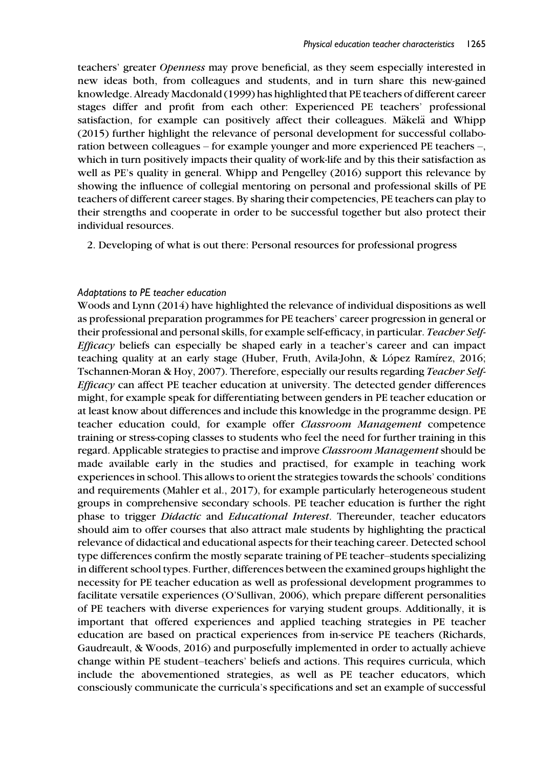teachers' greater Openness may prove beneficial, as they seem especially interested in new ideas both, from colleagues and students, and in turn share this new-gained knowledge. Already Macdonald (1999) has highlighted that PE teachers of different career stages differ and profit from each other: Experienced PE teachers' professional satisfaction, for example can positively affect their colleagues. Mäkelä and Whipp (2015) further highlight the relevance of personal development for successful collaboration between colleagues – for example younger and more experienced PE teachers –, which in turn positively impacts their quality of work-life and by this their satisfaction as well as PE's quality in general. Whipp and Pengelley (2016) support this relevance by showing the influence of collegial mentoring on personal and professional skills of PE teachers of different career stages. By sharing their competencies, PE teachers can play to their strengths and cooperate in order to be successful together but also protect their individual resources.

2. Developing of what is out there: Personal resources for professional progress

### Adaptations to PE teacher education

Woods and Lynn (2014) have highlighted the relevance of individual dispositions as well as professional preparation programmes for PE teachers' career progression in general or their professional and personal skills, for example self-efficacy, in particular. Teacher Self-Efficacy beliefs can especially be shaped early in a teacher's career and can impact teaching quality at an early stage (Huber, Fruth, Avila-John, & López Ramírez, 2016; Tschannen-Moran & Hoy, 2007). Therefore, especially our results regarding Teacher Self-Efficacy can affect PE teacher education at university. The detected gender differences might, for example speak for differentiating between genders in PE teacher education or at least know about differences and include this knowledge in the programme design. PE teacher education could, for example offer Classroom Management competence training or stress-coping classes to students who feel the need for further training in this regard. Applicable strategies to practise and improve Classroom Management should be made available early in the studies and practised, for example in teaching work experiences in school. This allows to orient the strategies towards the schools' conditions and requirements (Mahler et al., 2017), for example particularly heterogeneous student groups in comprehensive secondary schools. PE teacher education is further the right phase to trigger Didactic and Educational Interest. Thereunder, teacher educators should aim to offer courses that also attract male students by highlighting the practical relevance of didactical and educational aspects for their teaching career. Detected school type differences confirm the mostly separate training of PE teacher–students specializing in different school types. Further, differences between the examined groups highlight the necessity for PE teacher education as well as professional development programmes to facilitate versatile experiences (O'Sullivan, 2006), which prepare different personalities of PE teachers with diverse experiences for varying student groups. Additionally, it is important that offered experiences and applied teaching strategies in PE teacher education are based on practical experiences from in-service PE teachers (Richards, Gaudreault, & Woods, 2016) and purposefully implemented in order to actually achieve change within PE student–teachers' beliefs and actions. This requires curricula, which include the abovementioned strategies, as well as PE teacher educators, which consciously communicate the curricula's specifications and set an example of successful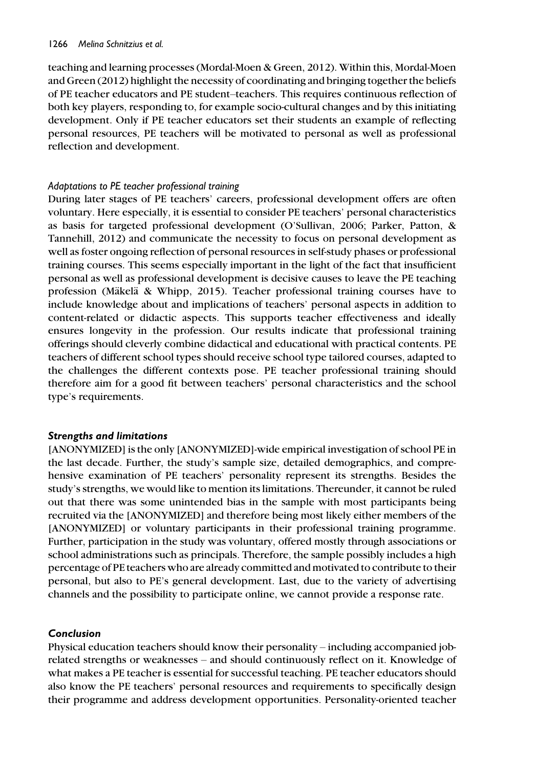teaching and learning processes (Mordal-Moen & Green, 2012). Within this, Mordal-Moen and Green (2012) highlight the necessity of coordinating and bringing together the beliefs of PE teacher educators and PE student–teachers. This requires continuous reflection of both key players, responding to, for example socio-cultural changes and by this initiating development. Only if PE teacher educators set their students an example of reflecting personal resources, PE teachers will be motivated to personal as well as professional reflection and development.

### Adaptations to PE teacher professional training

During later stages of PE teachers' careers, professional development offers are often voluntary. Here especially, it is essential to consider PE teachers' personal characteristics as basis for targeted professional development (O'Sullivan, 2006; Parker, Patton, & Tannehill, 2012) and communicate the necessity to focus on personal development as well as foster ongoing reflection of personal resources in self-study phases or professional training courses. This seems especially important in the light of the fact that insufficient personal as well as professional development is decisive causes to leave the PE teaching profession (Mäkelä & Whipp, 2015). Teacher professional training courses have to include knowledge about and implications of teachers' personal aspects in addition to content-related or didactic aspects. This supports teacher effectiveness and ideally ensures longevity in the profession. Our results indicate that professional training offerings should cleverly combine didactical and educational with practical contents. PE teachers of different school types should receive school type tailored courses, adapted to the challenges the different contexts pose. PE teacher professional training should therefore aim for a good fit between teachers' personal characteristics and the school type's requirements.

# Strengths and limitations

[ANONYMIZED] is the only [ANONYMIZED]-wide empirical investigation of school PE in the last decade. Further, the study's sample size, detailed demographics, and comprehensive examination of PE teachers' personality represent its strengths. Besides the study's strengths, we would like to mention its limitations. Thereunder, it cannot be ruled out that there was some unintended bias in the sample with most participants being recruited via the [ANONYMIZED] and therefore being most likely either members of the [ANONYMIZED] or voluntary participants in their professional training programme. Further, participation in the study was voluntary, offered mostly through associations or school administrations such as principals. Therefore, the sample possibly includes a high percentage of PE teachers who are already committed and motivated to contribute to their personal, but also to PE's general development. Last, due to the variety of advertising channels and the possibility to participate online, we cannot provide a response rate.

# Conclusion

Physical education teachers should know their personality – including accompanied jobrelated strengths or weaknesses – and should continuously reflect on it. Knowledge of what makes a PE teacher is essential for successful teaching. PE teacher educators should also know the PE teachers' personal resources and requirements to specifically design their programme and address development opportunities. Personality-oriented teacher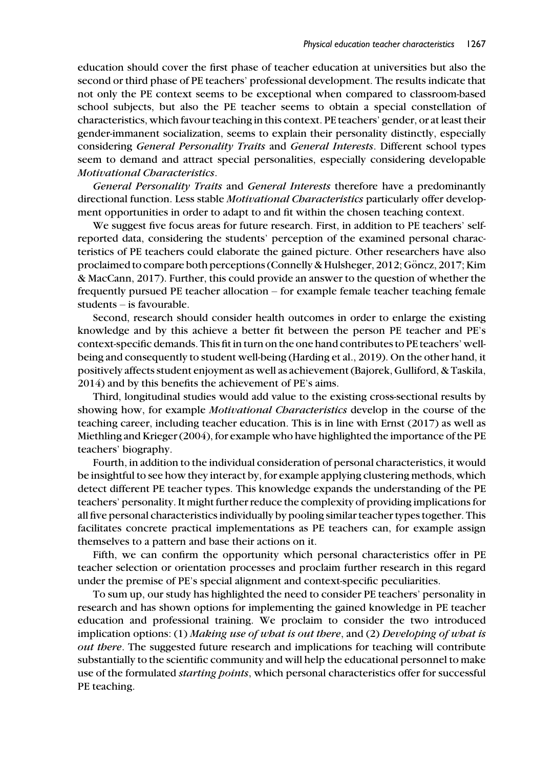education should cover the first phase of teacher education at universities but also the second or third phase of PE teachers' professional development. The results indicate that not only the PE context seems to be exceptional when compared to classroom-based school subjects, but also the PE teacher seems to obtain a special constellation of characteristics, which favour teaching in this context. PE teachers' gender, or at least their gender-immanent socialization, seems to explain their personality distinctly, especially considering General Personality Traits and General Interests. Different school types seem to demand and attract special personalities, especially considering developable Motivational Characteristics.

General Personality Traits and General Interests therefore have a predominantly directional function. Less stable Motivational Characteristics particularly offer development opportunities in order to adapt to and fit within the chosen teaching context.

We suggest five focus areas for future research. First, in addition to PE teachers' selfreported data, considering the students' perception of the examined personal characteristics of PE teachers could elaborate the gained picture. Other researchers have also proclaimed to compare both perceptions (Connelly & Hulsheger, 2012; Göncz, 2017; Kim & MacCann, 2017). Further, this could provide an answer to the question of whether the frequently pursued PE teacher allocation – for example female teacher teaching female students – is favourable.

Second, research should consider health outcomes in order to enlarge the existing knowledge and by this achieve a better fit between the person PE teacher and PE's context-specific demands. This fit in turn on the one hand contributes to PE teachers' wellbeing and consequently to student well-being (Harding et al., 2019). On the other hand, it positively affects student enjoyment as well as achievement (Bajorek, Gulliford, & Taskila, 2014) and by this benefits the achievement of PE's aims.

Third, longitudinal studies would add value to the existing cross-sectional results by showing how, for example *Motivational Characteristics* develop in the course of the teaching career, including teacher education. This is in line with Ernst (2017) as well as Miethling and Krieger (2004), for example who have highlighted the importance of the PE teachers' biography.

Fourth, in addition to the individual consideration of personal characteristics, it would be insightful to see how they interact by, for example applying clustering methods, which detect different PE teacher types. This knowledge expands the understanding of the PE teachers' personality. It might further reduce the complexity of providing implications for all five personal characteristics individually by pooling similar teacher types together. This facilitates concrete practical implementations as PE teachers can, for example assign themselves to a pattern and base their actions on it.

Fifth, we can confirm the opportunity which personal characteristics offer in PE teacher selection or orientation processes and proclaim further research in this regard under the premise of PE's special alignment and context-specific peculiarities.

To sum up, our study has highlighted the need to consider PE teachers' personality in research and has shown options for implementing the gained knowledge in PE teacher education and professional training. We proclaim to consider the two introduced implication options: (1) Making use of what is out there, and (2) Developing of what is out there. The suggested future research and implications for teaching will contribute substantially to the scientific community and will help the educational personnel to make use of the formulated *starting points*, which personal characteristics offer for successful PE teaching.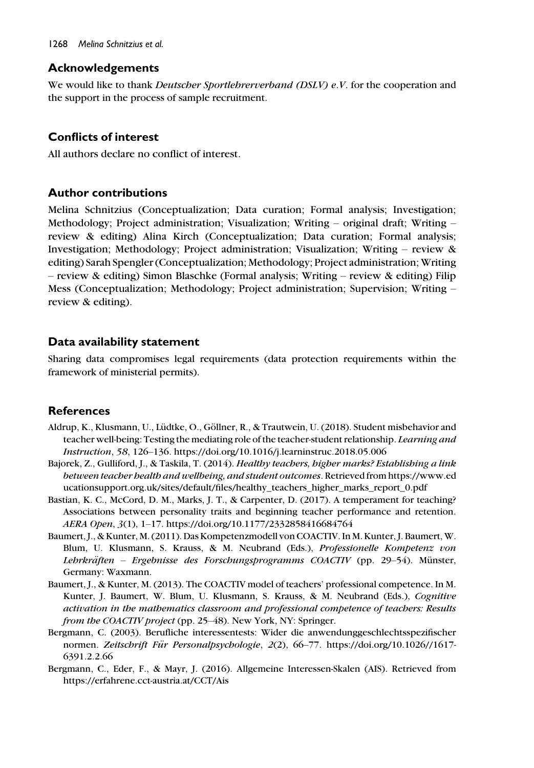# Acknowledgements

We would like to thank *Deutscher Sportlehrerverband (DSLV) e.V.* for the cooperation and the support in the process of sample recruitment.

# Conflicts of interest

All authors declare no conflict of interest.

# Author contributions

Melina Schnitzius (Conceptualization; Data curation; Formal analysis; Investigation; Methodology; Project administration; Visualization; Writing – original draft; Writing – review & editing) Alina Kirch (Conceptualization; Data curation; Formal analysis; Investigation; Methodology; Project administration; Visualization; Writing – review & editing) Sarah Spengler (Conceptualization; Methodology; Project administration; Writing – review & editing) Simon Blaschke (Formal analysis; Writing – review & editing) Filip Mess (Conceptualization; Methodology; Project administration; Supervision; Writing – review & editing).

# Data availability statement

Sharing data compromises legal requirements (data protection requirements within the framework of ministerial permits).

# **References**

- Aldrup, K., Klusmann, U., Lüdtke, O., Göllner, R., & Trautwein, U. (2018). Student misbehavior and teacher well-being: Testing the mediating role of the teacher-student relationship. Learning and Instruction, 58, 126–136.<https://doi.org/10.1016/j.learninstruc.2018.05.006>
- Bajorek, Z., Gulliford, J., & Taskila, T. (2014). Healthy teachers, higher marks? Establishing a link between teacher health and wellbeing, and student outcomes. Retrieved from [https://www.ed](https://www.educationsupport.org.uk/sites/default/files/healthy_teachers_higher_marks_report_0.pdf) [ucationsupport.org.uk/sites/default/files/healthy\\_teachers\\_higher\\_marks\\_report\\_0.pdf](https://www.educationsupport.org.uk/sites/default/files/healthy_teachers_higher_marks_report_0.pdf)
- Bastian, K. C., McCord, D. M., Marks, J. T., & Carpenter, D. (2017). A temperament for teaching? Associations between personality traits and beginning teacher performance and retention. AERA Open, 3(1), 1–17.<https://doi.org/10.1177/2332858416684764>
- Baumert, J., & Kunter, M. (2011). Das Kompetenzmodell von COACTIV. In M. Kunter, J. Baumert, W. Blum, U. Klusmann, S. Krauss, & M. Neubrand (Eds.), Professionelle Kompetenz von Lehrkräften – Ergebnisse des Forschungsprogramms COACTIV (pp. 29–54). Münster, Germany: Waxmann.
- Baumert, J., & Kunter, M. (2013). The COACTIV model of teachers' professional competence. In M. Kunter, J. Baumert, W. Blum, U. Klusmann, S. Krauss, & M. Neubrand (Eds.), Cognitive activation in the mathematics classroom and professional competence of teachers: Results from the COACTIV project (pp. 25–48). New York, NY: Springer.
- Bergmann, C. (2003). Berufliche interessentests: Wider die anwendunggeschlechtsspezifischer normen. Zeitschrift Für Personalpsychologie, 2(2), 66-77. [https://doi.org/10.1026//1617-](https://doi.org/10.1026//1617-6391.2.2.66) [6391.2.2.66](https://doi.org/10.1026//1617-6391.2.2.66)
- Bergmann, C., Eder, F., & Mayr, J. (2016). Allgemeine Interessen-Skalen (AIS). Retrieved from <https://erfahrene.cct-austria.at/CCT/Ais>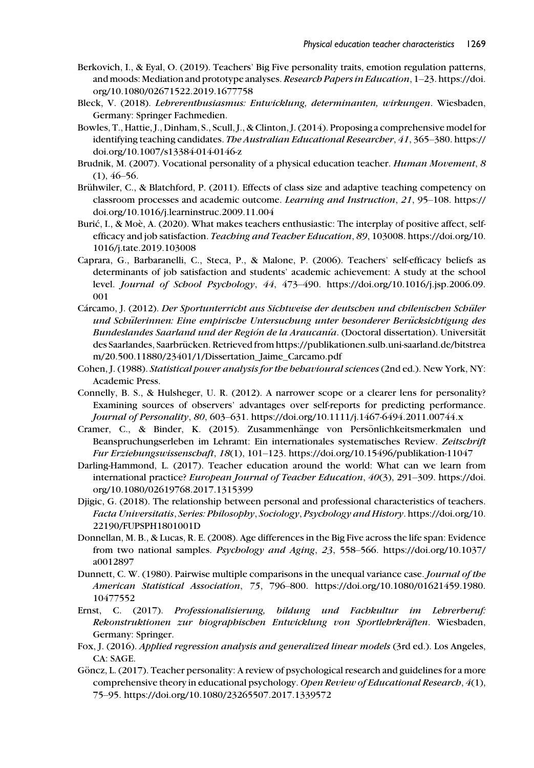- Berkovich, I., & Eyal, O. (2019). Teachers' Big Five personality traits, emotion regulation patterns, and moods: Mediation and prototype analyses. Research Papers in Education, 1–23. [https://doi.](https://doi.org/10.1080/02671522.2019.1677758) [org/10.1080/02671522.2019.1677758](https://doi.org/10.1080/02671522.2019.1677758)
- Bleck, V. (2018). Lehrerenthusiasmus: Entwicklung, determinanten, wirkungen. Wiesbaden, Germany: Springer Fachmedien.
- Bowles, T., Hattie, J., Dinham, S., Scull, J., & Clinton, J. (2014). Proposing a comprehensive model for identifying teaching candidates. The Australian Educational Researcher, 41, 365-380. [https://](https://doi.org/10.1007/s13384-014-0146-z) [doi.org/10.1007/s13384-014-0146-z](https://doi.org/10.1007/s13384-014-0146-z)
- Brudnik, M. (2007). Vocational personality of a physical education teacher. Human Movement, 8  $(1)$ , 46–56.
- Brühwiler, C., & Blatchford, P. (2011). Effects of class size and adaptive teaching competency on classroom processes and academic outcome. Learning and Instruction, 21, 95–108. [https://](https://doi.org/10.1016/j.learninstruc.2009.11.004) [doi.org/10.1016/j.learninstruc.2009.11.004](https://doi.org/10.1016/j.learninstruc.2009.11.004)
- Burić, I., & Moè, A. (2020). What makes teachers enthusiastic: The interplay of positive affect, selfefficacy and job satisfaction. Teaching and Teacher Education, 89, 103008. [https://doi.org/10.](https://doi.org/10.1016/j.tate.2019.103008) [1016/j.tate.2019.103008](https://doi.org/10.1016/j.tate.2019.103008)
- Caprara, G., Barbaranelli, C., Steca, P., & Malone, P. (2006). Teachers' self-efficacy beliefs as determinants of job satisfaction and students' academic achievement: A study at the school level. Journal of School Psychology, 44, 473–490. [https://doi.org/10.1016/j.jsp.2006.09.](https://doi.org/10.1016/j.jsp.2006.09.001) [001](https://doi.org/10.1016/j.jsp.2006.09.001)
- Cárcamo, J. (2012). *Der Sportunterricht aus Sichtweise der deutschen und chilenischen Schüler* und Schülerinnen: Eine empirische Untersuchung unter besonderer Berücksichtigung des Bundeslandes Saarland und der Región de la Araucanía. (Doctoral dissertation). Universität des Saarlandes, Saarbrücken. Retrieved from [https://publikationen.sulb.uni-saarland.de/bitstrea](https://publikationen.sulb.uni-saarland.de/bitstream/20.500.11880/23401/1/Dissertation_Jaime_Carcamo.pdf) [m/20.500.11880/23401/1/Dissertation\\_Jaime\\_Carcamo.pdf](https://publikationen.sulb.uni-saarland.de/bitstream/20.500.11880/23401/1/Dissertation_Jaime_Carcamo.pdf)
- Cohen, J. (1988). Statistical power analysis for the behavioural sciences(2nd ed.). New York, NY: Academic Press.
- Connelly, B. S., & Hulsheger, U. R. (2012). A narrower scope or a clearer lens for personality? Examining sources of observers' advantages over self-reports for predicting performance. Journal of Personality, 80, 603–631.<https://doi.org/10.1111/j.1467-6494.2011.00744.x>
- Cramer, C., & Binder, K. (2015). Zusammenhänge von Persönlichkeitsmerkmalen und Beanspruchungserleben im Lehramt: Ein internationales systematisches Review. Zeitschrift Fur Erziehungswissenschaft, 18(1), 101–123.<https://doi.org/10.15496/publikation-11047>
- Darling-Hammond, L. (2017). Teacher education around the world: What can we learn from international practice? European Journal of Teacher Education, 40(3), 291–309. [https://doi.](https://doi.org/10.1080/02619768.2017.1315399) [org/10.1080/02619768.2017.1315399](https://doi.org/10.1080/02619768.2017.1315399)
- Djigic, G. (2018). The relationship between personal and professional characteristics of teachers. Facta Universitatis, Series: Philosophy, Sociology, Psychology and History. [https://doi.org/10.](https://doi.org/10.22190/FUPSPH1801001D) [22190/FUPSPH1801001D](https://doi.org/10.22190/FUPSPH1801001D)
- Donnellan, M. B., & Lucas, R. E. (2008). Age differences in the Big Five across the life span: Evidence from two national samples. Psychology and Aging, 23, 558–566. [https://doi.org/10.1037/](https://doi.org/10.1037/a0012897) [a0012897](https://doi.org/10.1037/a0012897)
- Dunnett, C. W. (1980). Pairwise multiple comparisons in the unequal variance case. Journal of the American Statistical Association, 75, 796–800. [https://doi.org/10.1080/01621459.1980.](https://doi.org/10.1080/01621459.1980.10477552) [10477552](https://doi.org/10.1080/01621459.1980.10477552)
- Ernst, C. (2017). Professionalisierung, bildung und Fachkultur im Lehrerberuf: Rekonstruktionen zur biographischen Entwicklung von Sportlehrkräften. Wiesbaden, Germany: Springer.
- Fox, J. (2016). Applied regression analysis and generalized linear models (3rd ed.). Los Angeles, CA: SAGE.
- Göncz, L. (2017). Teacher personality: A review of psychological research and guidelines for a more comprehensive theory in educational psychology. Open Review of Educational Research, 4(1), 75–95.<https://doi.org/10.1080/23265507.2017.1339572>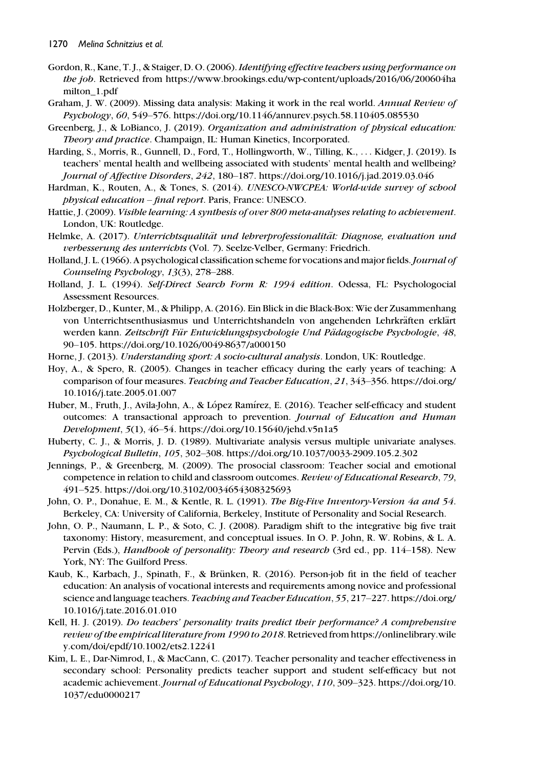- Gordon, R., Kane, T.J., & Staiger, D.O. (2006). Identifying effective teachers using performance on the job. Retrieved from [https://www.brookings.edu/wp-content/uploads/2016/06/200604ha](https://www.brookings.edu/wp-content/uploads/2016/06/200604hamilton_1.pdf) [milton\\_1.pdf](https://www.brookings.edu/wp-content/uploads/2016/06/200604hamilton_1.pdf)
- Graham, J. W. (2009). Missing data analysis: Making it work in the real world. Annual Review of Psychology, 60, 549–576.<https://doi.org/10.1146/annurev.psych.58.110405.085530>
- Greenberg, J., & LoBianco, J. (2019). Organization and administration of physical education: Theory and practice. Champaign, IL: Human Kinetics, Incorporated.
- Harding, S., Morris, R., Gunnell, D., Ford, T., Hollingworth, W., Tilling, K., ... Kidger, J. (2019). Is teachers' mental health and wellbeing associated with students' mental health and wellbeing? Journal of Affective Disorders, 242, 180–187.<https://doi.org/10.1016/j.jad.2019.03.046>
- Hardman, K., Routen, A., & Tones, S. (2014). UNESCO-NWCPEA: World-wide survey of school physical education – final report. Paris, France: UNESCO.
- Hattie, J. (2009). Visible learning: A synthesis of over 800 meta-analyses relating to achievement. London, UK: Routledge.
- Helmke, A. (2017). Unterrichtsqualität und lehrerprofessionalität: Diagnose, evaluation und verbesserung des unterrichts (Vol. 7). Seelze-Velber, Germany: Friedrich.
- Holland, J. L. (1966). A psychological classification scheme for vocations and major fields. Journal of Counseling Psychology, 13(3), 278–288.
- Holland, J. L. (1994). Self-Direct Search Form R: 1994 edition. Odessa, FL: Psychologocial Assessment Resources.
- Holzberger, D., Kunter, M., & Philipp, A. (2016). Ein Blick in die Black-Box: Wie der Zusammenhang von Unterrichtsenthusiasmus und Unterrichtshandeln von angehenden Lehrkräften erklärt werden kann. Zeitschrift Für Entwicklungspsychologie Und Pädagogische Psychologie, 48, 90–105.<https://doi.org/10.1026/0049-8637/a000150>
- Horne, J. (2013). *Understanding sport: A socio-cultural analysis*. London, UK: Routledge.
- Hoy, A., & Spero, R. (2005). Changes in teacher efficacy during the early years of teaching: A comparison of four measures. Teaching and Teacher Education, 21, 343–356. [https://doi.org/](https://doi.org/10.1016/j.tate.2005.01.007) [10.1016/j.tate.2005.01.007](https://doi.org/10.1016/j.tate.2005.01.007)
- Huber, M., Fruth, J., Avila-John, A., & López Ramírez, E. (2016). Teacher self-efficacy and student outcomes: A transactional approach to prevention. Journal of Education and Human Development, 5(1), 46–54.<https://doi.org/10.15640/jehd.v5n1a5>
- Huberty, C. J., & Morris, J. D. (1989). Multivariate analysis versus multiple univariate analyses. Psychological Bulletin, 105, 302–308.<https://doi.org/10.1037/0033-2909.105.2.302>
- Jennings, P., & Greenberg, M. (2009). The prosocial classroom: Teacher social and emotional competence in relation to child and classroom outcomes. Review of Educational Research, 79, 491–525.<https://doi.org/10.3102/0034654308325693>
- John, O. P., Donahue, E. M., & Kentle, R. L. (1991). The Big-Five Inventory-Version 4a and 54. Berkeley, CA: University of California, Berkeley, Institute of Personality and Social Research.
- John, O. P., Naumann, L. P., & Soto, C. J. (2008). Paradigm shift to the integrative big five trait taxonomy: History, measurement, and conceptual issues. In O. P. John, R. W. Robins, & L. A. Pervin (Eds.), *Handbook of personality: Theory and research* (3rd ed., pp. 114–158). New York, NY: The Guilford Press.
- Kaub, K., Karbach, J., Spinath, F., & Brünken, R. (2016). Person-job fit in the field of teacher education: An analysis of vocational interests and requirements among novice and professional science and language teachers. Teaching and Teacher Education, 55, 217-227. [https://doi.org/](https://doi.org/10.1016/j.tate.2016.01.010) [10.1016/j.tate.2016.01.010](https://doi.org/10.1016/j.tate.2016.01.010)
- Kell, H. J. (2019). Do teachers' personality traits predict their performance? A comprehensive review of the empirical literature from 1990 to 2018. Retrieved from [https://onlinelibrary.wile](https://onlinelibrary.wiley.com/doi/epdf/10.1002/ets2.12241) [y.com/doi/epdf/10.1002/ets2.12241](https://onlinelibrary.wiley.com/doi/epdf/10.1002/ets2.12241)
- Kim, L. E., Dar-Nimrod, I., & MacCann, C. (2017). Teacher personality and teacher effectiveness in secondary school: Personality predicts teacher support and student self-efficacy but not academic achievement. Journal of Educational Psychology, 110, 309–323. [https://doi.org/10.](https://doi.org/10.1037/edu0000217) [1037/edu0000217](https://doi.org/10.1037/edu0000217)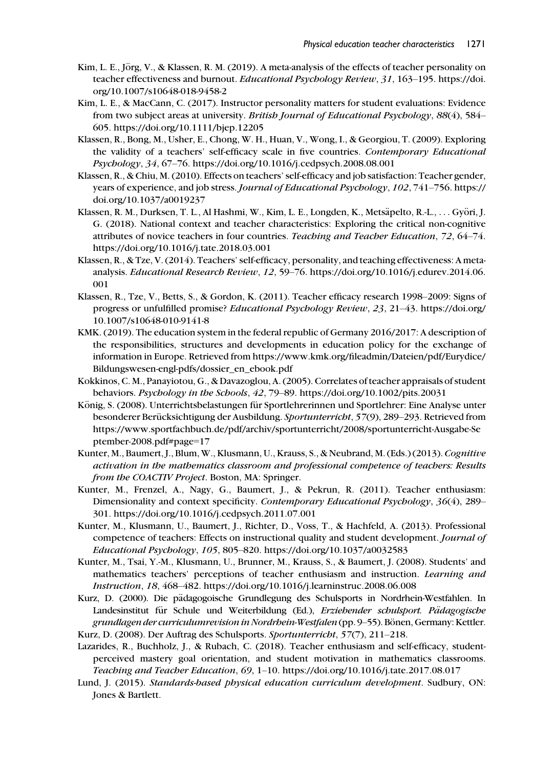- Kim, L. E., Jörg, V., & Klassen, R. M. (2019). A meta-analysis of the effects of teacher personality on teacher effectiveness and burnout. Educational Psychology Review, 31, 163-195. [https://doi.](https://doi.org/10.1007/s10648-018-9458-2) [org/10.1007/s10648-018-9458-2](https://doi.org/10.1007/s10648-018-9458-2)
- Kim, L. E., & MacCann, C. (2017). Instructor personality matters for student evaluations: Evidence from two subject areas at university. British Journal of Educational Psychology, 88(4), 584– 605.<https://doi.org/10.1111/bjep.12205>
- Klassen, R., Bong, M., Usher, E., Chong, W. H., Huan, V., Wong, I., & Georgiou, T. (2009). Exploring the validity of a teachers' self-efficacy scale in five countries. Contemporary Educational Psychology, 34, 67–76.<https://doi.org/10.1016/j.cedpsych.2008.08.001>
- Klassen, R., & Chiu, M. (2010). Effects on teachers' self-efficacy and job satisfaction: Teacher gender, years of experience, and job stress. Journal of Educational Psychology, 102, 741-756. [https://](https://doi.org/10.1037/a0019237) [doi.org/10.1037/a0019237](https://doi.org/10.1037/a0019237)
- Klassen, R. M., Durksen, T. L., Al Hashmi, W., Kim, L. E., Longden, K., Metsäpelto, R.-L., ... Györi, J. G. (2018). National context and teacher characteristics: Exploring the critical non-cognitive attributes of novice teachers in four countries. Teaching and Teacher Education, 72, 64–74. <https://doi.org/10.1016/j.tate.2018.03.001>
- Klassen, R., & Tze, V. (2014). Teachers' self-efficacy, personality, and teaching effectiveness: A metaanalysis. Educational Research Review, 12, 59–76. [https://doi.org/10.1016/j.edurev.2014.06.](https://doi.org/10.1016/j.edurev.2014.06.001) [001](https://doi.org/10.1016/j.edurev.2014.06.001)
- Klassen, R., Tze, V., Betts, S., & Gordon, K. (2011). Teacher efficacy research 1998–2009: Signs of progress or unfulfilled promise? Educational Psychology Review, 23, 21–43. [https://doi.org/](https://doi.org/10.1007/s10648-010-9141-8) [10.1007/s10648-010-9141-8](https://doi.org/10.1007/s10648-010-9141-8)
- KMK. (2019). The education system in the federal republic of Germany 2016/2017: A description of the responsibilities, structures and developments in education policy for the exchange of information in Europe. Retrieved from [https://www.kmk.org/fileadmin/Dateien/pdf/Eurydice/](https://www.kmk.org/fileadmin/Dateien/pdf/Eurydice/Bildungswesen-engl-pdfs/dossier_en_ebook.pdf) [Bildungswesen-engl-pdfs/dossier\\_en\\_ebook.pdf](https://www.kmk.org/fileadmin/Dateien/pdf/Eurydice/Bildungswesen-engl-pdfs/dossier_en_ebook.pdf)
- Kokkinos, C. M., Panayiotou, G., & Davazoglou, A. (2005). Correlates of teacher appraisals of student behaviors. Psychology in the Schools, 42, 79–89.<https://doi.org/10.1002/pits.20031>
- König, S. (2008). Unterrichtsbelastungen für Sportlehrerinnen und Sportlehrer: Eine Analyse unter besonderer Berücksichtigung der Ausbildung. Sportunterricht, 57(9), 289–293. Retrieved from [https://www.sportfachbuch.de/pdf/archiv/sportunterricht/2008/sportunterricht-Ausgabe-Se](https://www.sportfachbuch.de/pdf/archiv/sportunterricht/2008/sportunterricht-Ausgabe-September-2008.pdf#page=17) [ptember-2008.pdf#page](https://www.sportfachbuch.de/pdf/archiv/sportunterricht/2008/sportunterricht-Ausgabe-September-2008.pdf#page=17)=17
- Kunter, M., Baumert, J., Blum, W., Klusmann, U., Krauss, S., & Neubrand, M. (Eds.) (2013). Cognitive activation in the mathematics classroom and professional competence of teachers: Results from the COACTIV Project. Boston, MA: Springer.
- Kunter, M., Frenzel, A., Nagy, G., Baumert, J., & Pekrun, R. (2011). Teacher enthusiasm: Dimensionality and context specificity. Contemporary Educational Psychology, 36(4), 289– 301.<https://doi.org/10.1016/j.cedpsych.2011.07.001>
- Kunter, M., Klusmann, U., Baumert, J., Richter, D., Voss, T., & Hachfeld, A. (2013). Professional competence of teachers: Effects on instructional quality and student development. Journal of Educational Psychology, 105, 805–820.<https://doi.org/10.1037/a0032583>
- Kunter, M., Tsai, Y.-M., Klusmann, U., Brunner, M., Krauss, S., & Baumert, J. (2008). Students' and mathematics teachers' perceptions of teacher enthusiasm and instruction. Learning and Instruction, 18, 468–482.<https://doi.org/10.1016/j.learninstruc.2008.06.008>
- Kurz, D. (2000). Die pädagogoische Grundlegung des Schulsports in Nordrhein-Westfahlen. In Landesinstitut für Schule und Weiterbildung (Ed.), Erziehender schulsport. Pädagogische grundlagen der curriculumrevision in Nordrhein-Westfalen (pp. 9–55). Bönen, Germany: Kettler. Kurz, D. (2008). Der Auftrag des Schulsports. Sportunterricht, 57(7), 211–218.
- Lazarides, R., Buchholz, J., & Rubach, C. (2018). Teacher enthusiasm and self-efficacy, studentperceived mastery goal orientation, and student motivation in mathematics classrooms. Teaching and Teacher Education, 69, 1–10.<https://doi.org/10.1016/j.tate.2017.08.017>
- Lund, J. (2015). Standards-based physical education curriculum development. Sudbury, ON: Jones & Bartlett.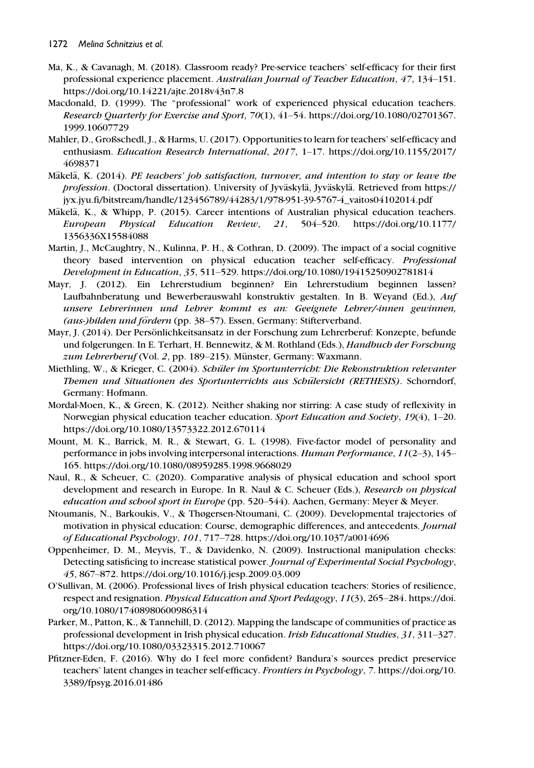- Ma, K., & Cavanagh, M. (2018). Classroom ready? Pre-service teachers' self-efficacy for their first professional experience placement. Australian Journal of Teacher Education, 47, 134–151. <https://doi.org/10.14221/ajte.2018v43n7.8>
- Macdonald, D. (1999). The "professional" work of experienced physical education teachers. Research Quarterly for Exercise and Sport, 70(1), 41–54. [https://doi.org/10.1080/02701367.](https://doi.org/10.1080/02701367.1999.10607729) [1999.10607729](https://doi.org/10.1080/02701367.1999.10607729)
- Mahler, D., Großschedl, J., & Harms, U. (2017). Opportunities to learn for teachers' self-efficacy and enthusiasm. Education Research International, 2017, 1–17. [https://doi.org/10.1155/2017/](https://doi.org/10.1155/2017/4698371) [4698371](https://doi.org/10.1155/2017/4698371)
- Mäkelä, K. (2014). PE teachers' job satisfaction, turnover, and intention to stay or leave the profession. (Doctoral dissertation). University of Jyväskylä, Jyväskylä. Retrieved from [https://](https://jyx.jyu.fi/bitstream/handle/123456789/44283/1/978-951-39-5767-4_vaitos04102014.pdf) [jyx.jyu.fi/bitstream/handle/123456789/44283/1/978-951-39-5767-4\\_vaitos04102014.pdf](https://jyx.jyu.fi/bitstream/handle/123456789/44283/1/978-951-39-5767-4_vaitos04102014.pdf)
- Mäkelä, K., & Whipp, P. (2015). Career intentions of Australian physical education teachers. European Physical Education Review, 21, 504–520. [https://doi.org/10.1177/](https://doi.org/10.1177/1356336X15584088) [1356336X15584088](https://doi.org/10.1177/1356336X15584088)
- Martin, J., McCaughtry, N., Kulinna, P. H., & Cothran, D. (2009). The impact of a social cognitive theory based intervention on physical education teacher self-efficacy. Professional Development in Education, 35, 511–529.<https://doi.org/10.1080/19415250902781814>
- Mayr, J. (2012). Ein Lehrerstudium beginnen? Ein Lehrerstudium beginnen lassen? Laufbahnberatung und Bewerberauswahl konstruktiv gestalten. In B. Weyand (Ed.), Auf unsere Lehrerinnen und Lehrer kommt es an: Geeignete Lehrer/-innen gewinnen, (aus-)bilden und fördern (pp. 38–57). Essen, Germany: Stifterverband.
- Mayr, J. (2014). Der Persönlichkeitsansatz in der Forschung zum Lehrerberuf: Konzepte, befunde und folgerungen. In E. Terhart, H. Bennewitz, & M. Rothland (Eds.), *Handbuch der Forschung*  $zum \text{ } Lebrerberuf \text{ (Vol. 2, pp. 189–215).}$  Münster, Germany: Waxmann.
- Miethling, W., & Krieger, C. (2004). Schüler im Sportunterricht: Die Rekonstruktion relevanter Themen und Situationen des Sportunterrichts aus Schülersicht (RETHESIS). Schorndorf, Germany: Hofmann.
- Mordal-Moen, K., & Green, K. (2012). Neither shaking nor stirring: A case study of reflexivity in Norwegian physical education teacher education. Sport Education and Society, 19(4), 1–20. <https://doi.org/10.1080/13573322.2012.670114>
- Mount, M. K., Barrick, M. R., & Stewart, G. L. (1998). Five-factor model of personality and performance in jobs involving interpersonal interactions. Human Performance, 11(2–3), 145– 165.<https://doi.org/10.1080/08959285.1998.9668029>
- Naul, R., & Scheuer, C. (2020). Comparative analysis of physical education and school sport development and research in Europe. In R. Naul & C. Scheuer (Eds.), Research on physical education and school sport in Europe (pp. 520–544). Aachen, Germany: Meyer & Meyer.
- Ntoumanis, N., Barkoukis, V., & Thøgersen-Ntoumani, C. (2009). Developmental trajectories of motivation in physical education: Course, demographic differences, and antecedents. Journal of Educational Psychology, 101, 717–728.<https://doi.org/10.1037/a0014696>
- Oppenheimer, D. M., Meyvis, T., & Davidenko, N. (2009). Instructional manipulation checks: Detecting satisficing to increase statistical power. Journal of Experimental Social Psychology, 45, 867–872.<https://doi.org/10.1016/j.jesp.2009.03.009>
- O'Sullivan, M. (2006). Professional lives of Irish physical education teachers: Stories of resilience, respect and resignation. Physical Education and Sport Pedagogy, 11(3), 265-284. [https://doi.](https://doi.org/10.1080/17408980600986314) [org/10.1080/17408980600986314](https://doi.org/10.1080/17408980600986314)
- Parker, M., Patton, K., & Tannehill, D. (2012). Mapping the landscape of communities of practice as professional development in Irish physical education. Irish Educational Studies, 31, 311-327. <https://doi.org/10.1080/03323315.2012.710067>
- Pfitzner-Eden, F. (2016). Why do I feel more confident? Bandura's sources predict preservice teachers' latent changes in teacher self-efficacy. Frontiers in Psychology, 7. [https://doi.org/10.](https://doi.org/10.3389/fpsyg.2016.01486) [3389/fpsyg.2016.01486](https://doi.org/10.3389/fpsyg.2016.01486)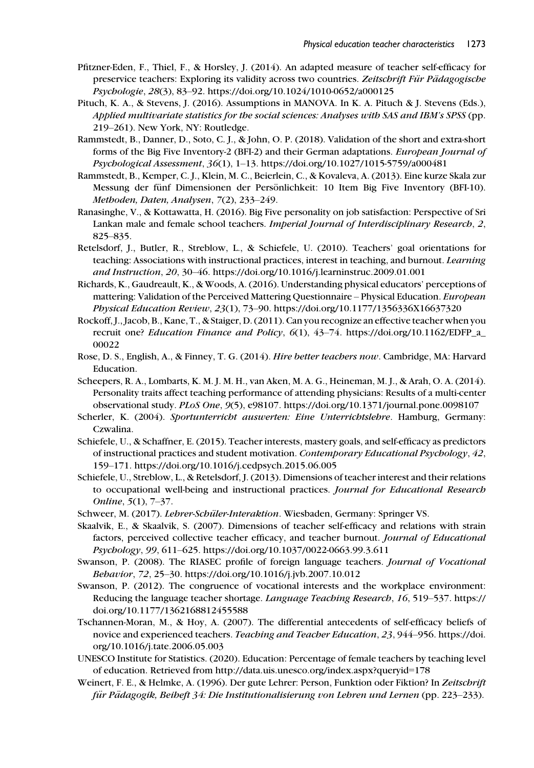- Pfitzner-Eden, F., Thiel, F., & Horsley, J. (2014). An adapted measure of teacher self-efficacy for preservice teachers: Exploring its validity across two countries. Zeitschrift Für Pädagogische Psychologie, 28(3), 83–92.<https://doi.org/10.1024/1010-0652/a000125>
- Pituch, K. A., & Stevens, J. (2016). Assumptions in MANOVA. In K. A. Pituch & J. Stevens (Eds.), Applied multivariate statistics for the social sciences: Analyses with SAS and IBM's SPSS (pp. 219–261). New York, NY: Routledge.
- Rammstedt, B., Danner, D., Soto, C. J., & John, O. P. (2018). Validation of the short and extra-short forms of the Big Five Inventory-2 (BFI-2) and their German adaptations. European Journal of Psychological Assessment, 36(1), 1–13.<https://doi.org/10.1027/1015-5759/a000481>
- Rammstedt, B., Kemper, C. J., Klein, M. C., Beierlein, C., & Kovaleva, A. (2013). Eine kurze Skala zur Messung der fünf Dimensionen der Persönlichkeit: 10 Item Big Five Inventory (BFI-10). Methoden, Daten, Analysen, 7(2), 233–249.
- Ranasinghe, V., & Kottawatta, H. (2016). Big Five personality on job satisfaction: Perspective of Sri Lankan male and female school teachers. Imperial Journal of Interdisciplinary Research, 2, 825–835.
- Retelsdorf, J., Butler, R., Streblow, L., & Schiefele, U. (2010). Teachers' goal orientations for teaching: Associations with instructional practices, interest in teaching, and burnout. Learning and Instruction, 20, 30–46.<https://doi.org/10.1016/j.learninstruc.2009.01.001>
- Richards, K., Gaudreault, K., & Woods, A. (2016). Understanding physical educators' perceptions of mattering: Validation of the Perceived Mattering Questionnaire – Physical Education. European Physical Education Review, 23(1), 73–90.<https://doi.org/10.1177/1356336X16637320>
- Rockoff, J., Jacob, B., Kane, T., & Staiger, D. (2011). Can you recognize an effective teacher when you recruit one? Education Finance and Policy, 6(1), 43–74. [https://doi.org/10.1162/EDFP\\_a\\_](https://doi.org/10.1162/EDFP_a_00022) [00022](https://doi.org/10.1162/EDFP_a_00022)
- Rose, D. S., English, A., & Finney, T. G. (2014). Hire better teachers now. Cambridge, MA: Harvard Education.
- Scheepers, R. A., Lombarts, K. M. J. M. H., van Aken, M. A. G., Heineman, M. J., & Arah, O. A. (2014). Personality traits affect teaching performance of attending physicians: Results of a multi-center observational study. PLoS One, 9(5), e98107.<https://doi.org/10.1371/journal.pone.0098107>
- Scherler, K. (2004). Sportunterricht auswerten: Eine Unterrichtslehre. Hamburg, Germany: Czwalina.
- Schiefele, U., & Schaffner, E. (2015). Teacher interests, mastery goals, and self-efficacy as predictors of instructional practices and student motivation. Contemporary Educational Psychology, 42, 159–171.<https://doi.org/10.1016/j.cedpsych.2015.06.005>
- Schiefele, U., Streblow, L., & Retelsdorf, J. (2013). Dimensions of teacher interest and their relations to occupational well-being and instructional practices. Journal for Educational Research Online, 5(1), 7–37.
- Schweer, M. (2017). Lehrer-Schüler-Interaktion. Wiesbaden, Germany: Springer VS.
- Skaalvik, E., & Skaalvik, S. (2007). Dimensions of teacher self-efficacy and relations with strain factors, perceived collective teacher efficacy, and teacher burnout. Journal of Educational Psychology, 99, 611–625.<https://doi.org/10.1037/0022-0663.99.3.611>
- Swanson, P. (2008). The RIASEC profile of foreign language teachers. Journal of Vocational Behavior, 72, 25–30.<https://doi.org/10.1016/j.jvb.2007.10.012>
- Swanson, P. (2012). The congruence of vocational interests and the workplace environment: Reducing the language teacher shortage. Language Teaching Research, 16, 519–537. [https://](https://doi.org/10.1177/1362168812455588) [doi.org/10.1177/1362168812455588](https://doi.org/10.1177/1362168812455588)
- Tschannen-Moran, M., & Hoy, A. (2007). The differential antecedents of self-efficacy beliefs of novice and experienced teachers. Teaching and Teacher Education, 23, 944–956. [https://doi.](https://doi.org/10.1016/j.tate.2006.05.003) [org/10.1016/j.tate.2006.05.003](https://doi.org/10.1016/j.tate.2006.05.003)
- UNESCO Institute for Statistics. (2020). Education: Percentage of female teachers by teaching level of education. Retrieved from [http://data.uis.unesco.org/index.aspx?queryid](http://data.uis.unesco.org/index.aspx?queryid=178)=178
- Weinert, F. E., & Helmke, A. (1996). Der gute Lehrer: Person, Funktion oder Fiktion? In Zeitschrift für Pädagogik, Beiheft 34: Die Institutionalisierung von Lehren und Lernen (pp. 223–233).